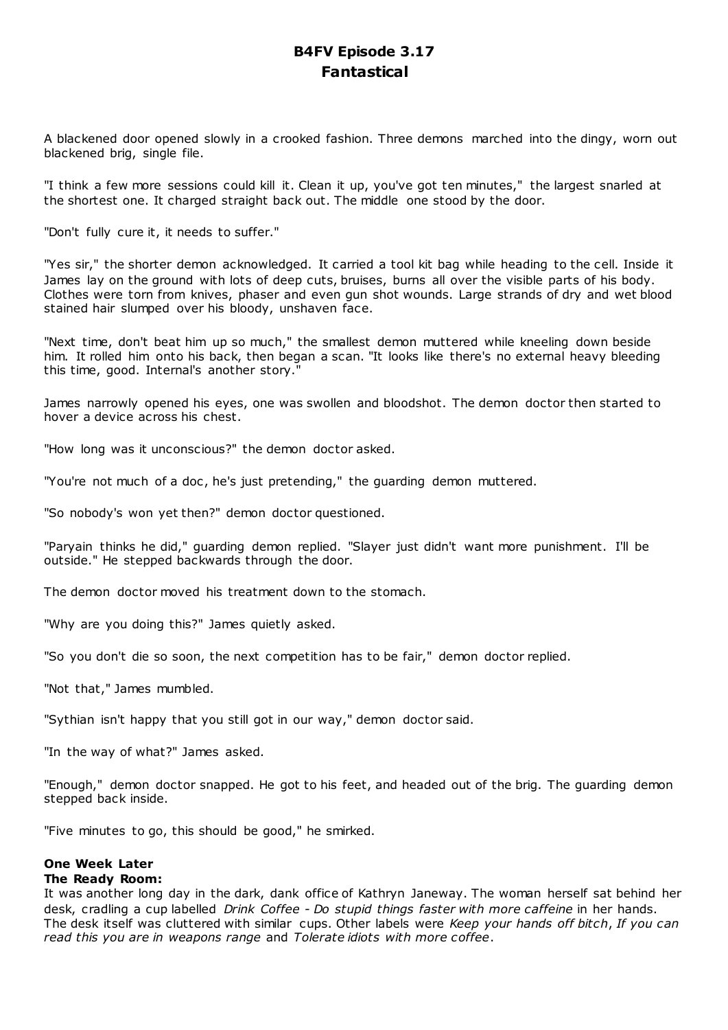# **B4FV Episode 3.17 Fantastical**

A blackened door opened slowly in a crooked fashion. Three demons marched into the dingy, worn out blackened brig, single file.

"I think a few more sessions could kill it. Clean it up, you've got ten minutes," the largest snarled at the shortest one. It charged straight back out. The middle one stood by the door.

"Don't fully cure it, it needs to suffer."

"Yes sir," the shorter demon acknowledged. It carried a tool kit bag while heading to the cell. Inside it James lay on the ground with lots of deep cuts, bruises, burns all over the visible parts of his body. Clothes were torn from knives, phaser and even gun shot wounds. Large strands of dry and wet blood stained hair slumped over his bloody, unshaven face.

"Next time, don't beat him up so much," the smallest demon muttered while kneeling down beside him. It rolled him onto his back, then began a scan. "It looks like there's no external heavy bleeding this time, good. Internal's another story."

James narrowly opened his eyes, one was swollen and bloodshot. The demon doctor then started to hover a device across his chest.

"How long was it unconscious?" the demon doctor asked.

"You're not much of a doc , he's just pretending," the guarding demon muttered.

"So nobody's won yet then?" demon doctor questioned.

"Paryain thinks he did," guarding demon replied. "Slayer just didn't want more punishment. I'll be outside." He stepped backwards through the door.

The demon doctor moved his treatment down to the stomach.

"Why are you doing this?" James quietly asked.

"So you don't die so soon, the next competition has to be fair," demon doctor replied.

"Not that," James mumbled.

"Sythian isn't happy that you still got in our way," demon doctor said.

"In the way of what?" James asked.

"Enough," demon doctor snapped. He got to his feet, and headed out of the brig. The guarding demon stepped back inside.

"Five minutes to go, this should be good," he smirked.

# **One Week Later**

# **The Ready Room:**

It was another long day in the dark, dank office of Kathryn Janeway. The woman herself sat behind her desk, cradling a cup labelled *Drink Coffee - Do stupid things faster with more caffeine* in her hands. The desk itself was cluttered with similar cups. Other labels were *Keep your hands off bitch*, *If you can read this you are in weapons range* and *Tolerate idiots with more coffee*.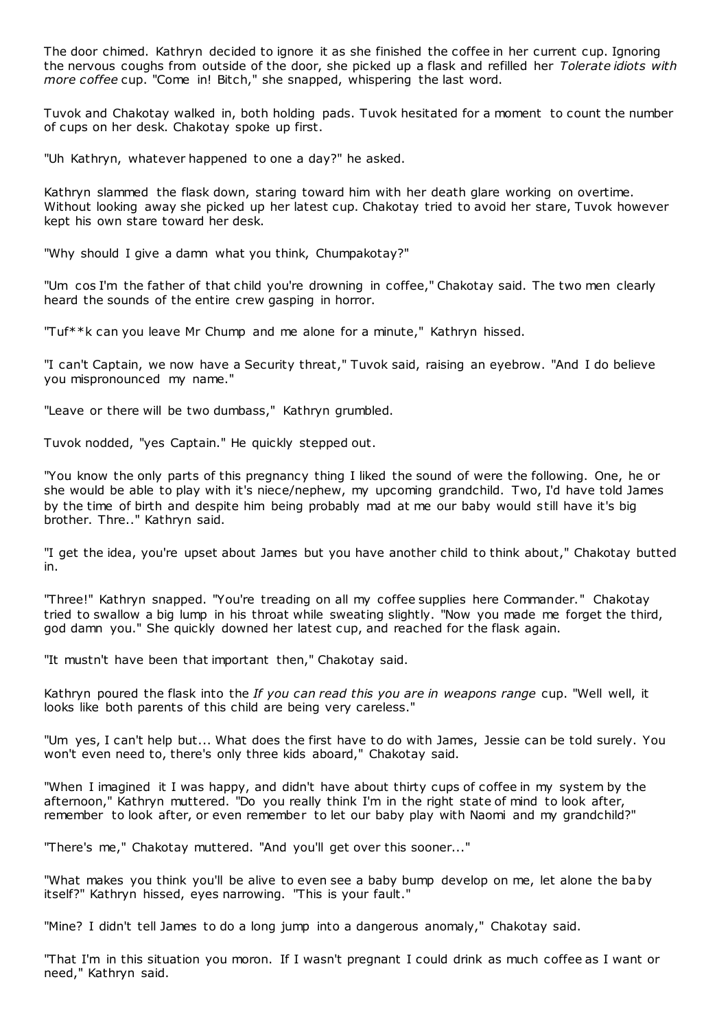The door chimed. Kathryn decided to ignore it as she finished the coffee in her current cup. Ignoring the nervous coughs from outside of the door, she picked up a flask and refilled her *Tolerate idiots with more coffee* cup. "Come in! Bitch," she snapped, whispering the last word.

Tuvok and Chakotay walked in, both holding pads. Tuvok hesitated for a moment to count the number of cups on her desk. Chakotay spoke up first.

"Uh Kathryn, whatever happened to one a day?" he asked.

Kathryn slammed the flask down, staring toward him with her death glare working on overtime. Without looking away she picked up her latest cup. Chakotay tried to avoid her stare, Tuvok however kept his own stare toward her desk.

"Why should I give a damn what you think, Chumpakotay?"

"Um cos I'm the father of that child you're drowning in coffee," Chakotay said. The two men clearly heard the sounds of the entire crew gasping in horror.

"Tuf\*\*k can you leave Mr Chump and me alone for a minute," Kathryn hissed.

"I can't Captain, we now have a Security threat," Tuvok said, raising an eyebrow. "And I do believe you mispronounced my name."

"Leave or there will be two dumbass," Kathryn grumbled.

Tuvok nodded, "yes Captain." He quickly stepped out.

"You know the only parts of this pregnancy thing I liked the sound of were the following. One, he or she would be able to play with it's niece/nephew, my upcoming grandchild. Two, I'd have told James by the time of birth and despite him being probably mad at me our baby would still have it's big brother. Thre.." Kathryn said.

"I get the idea, you're upset about James but you have another child to think about," Chakotay butted in.

"Three!" Kathryn snapped. "You're treading on all my coffee supplies here Commander." Chakotay tried to swallow a big lump in his throat while sweating slightly. "Now you made me forget the third, god damn you." She quickly downed her latest cup, and reached for the flask again.

"It mustn't have been that important then," Chakotay said.

Kathryn poured the flask into the *If you can read this you are in weapons range* cup. "Well well, it looks like both parents of this child are being very careless."

"Um yes, I can't help but... What does the first have to do with James, Jessie can be told surely. You won't even need to, there's only three kids aboard," Chakotay said.

"When I imagined it I was happy, and didn't have about thirty cups of coffee in my system by the afternoon," Kathryn muttered. "Do you really think I'm in the right state of mind to look after, remember to look after, or even remember to let our baby play with Naomi and my grandchild?"

"There's me," Chakotay muttered. "And you'll get over this sooner..."

"What makes you think you'll be alive to even see a baby bump develop on me, let alone the baby itself?" Kathryn hissed, eyes narrowing. "This is your fault."

"Mine? I didn't tell James to do a long jump into a dangerous anomaly," Chakotay said.

"That I'm in this situation you moron. If I wasn't pregnant I could drink as much coffee as I want or need," Kathryn said.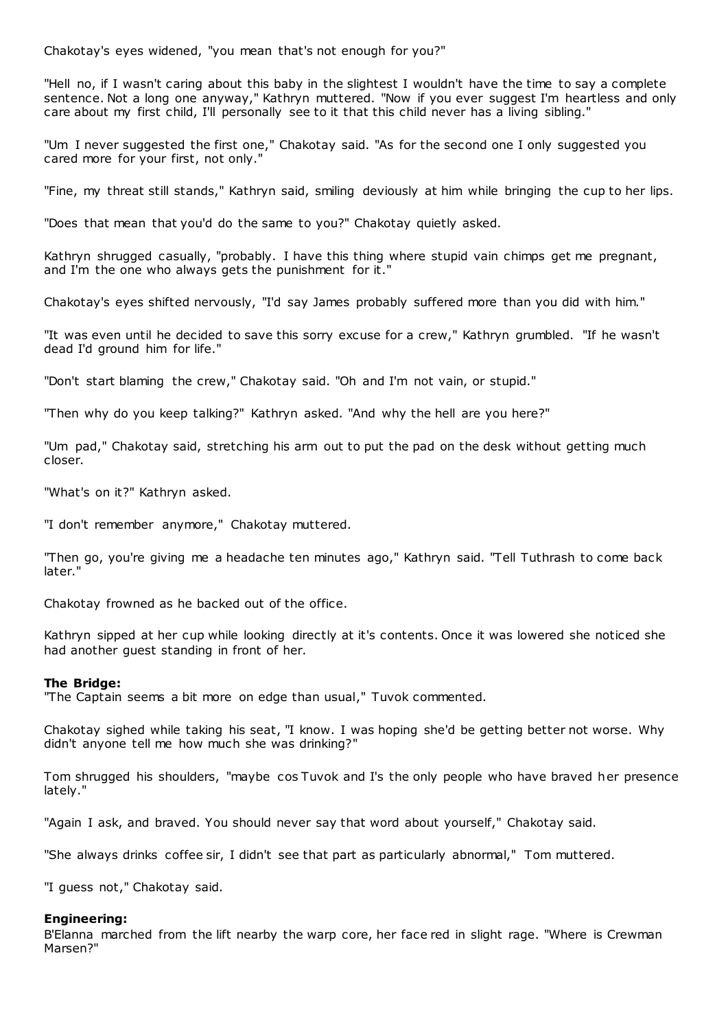Chakotay's eyes widened, "you mean that's not enough for you?"

"Hell no, if I wasn't caring about this baby in the slightest I wouldn't have the time to say a complete sentence. Not a long one anyway," Kathryn muttered. "Now if you ever suggest I'm heartless and only care about my first child, I'll personally see to it that this child never has a living sibling."

"Um I never suggested the first one," Chakotay said. "As for the second one I only suggested you cared more for your first, not only."

"Fine, my threat still stands," Kathryn said, smiling deviously at him while bringing the cup to her lips.

"Does that mean that you'd do the same to you?" Chakotay quietly asked.

Kathryn shrugged casually, "probably. I have this thing where stupid vain chimps get me pregnant, and I'm the one who always gets the punishment for it."

Chakotay's eyes shifted nervously, "I'd say James probably suffered more than you did with him."

"It was even until he decided to save this sorry excuse for a crew," Kathryn grumbled. "If he wasn't dead I'd ground him for life."

"Don't start blaming the crew," Chakotay said. "Oh and I'm not vain, or stupid."

"Then why do you keep talking?" Kathryn asked. "And why the hell are you here?"

"Um pad," Chakotay said, stretching his arm out to put the pad on the desk without getting much closer.

"What's on it?" Kathryn asked.

"I don't remember anymore," Chakotay muttered.

"Then go, you're giving me a headache ten minutes ago," Kathryn said. "Tell Tuthrash to come back later."

Chakotay frowned as he backed out of the office.

Kathryn sipped at her cup while looking directly at it's contents. Once it was lowered she noticed she had another guest standing in front of her.

# **The Bridge:**

"The Captain seems a bit more on edge than usual," Tuvok commented.

Chakotay sighed while taking his seat, "I know. I was hoping she'd be getting better not worse. Why didn't anyone tell me how much she was drinking?"

Tom shrugged his shoulders, "maybe cos Tuvok and I's the only people who have braved her presence lately."

"Again I ask, and braved. You should never say that word about yourself," Chakotay said.

"She always drinks coffee sir, I didn't see that part as particularly abnormal," Tom muttered.

"I guess not," Chakotay said.

# **Engineering:**

B'Elanna marched from the lift nearby the warp core, her face red in slight rage. "Where is Crewman Marsen?"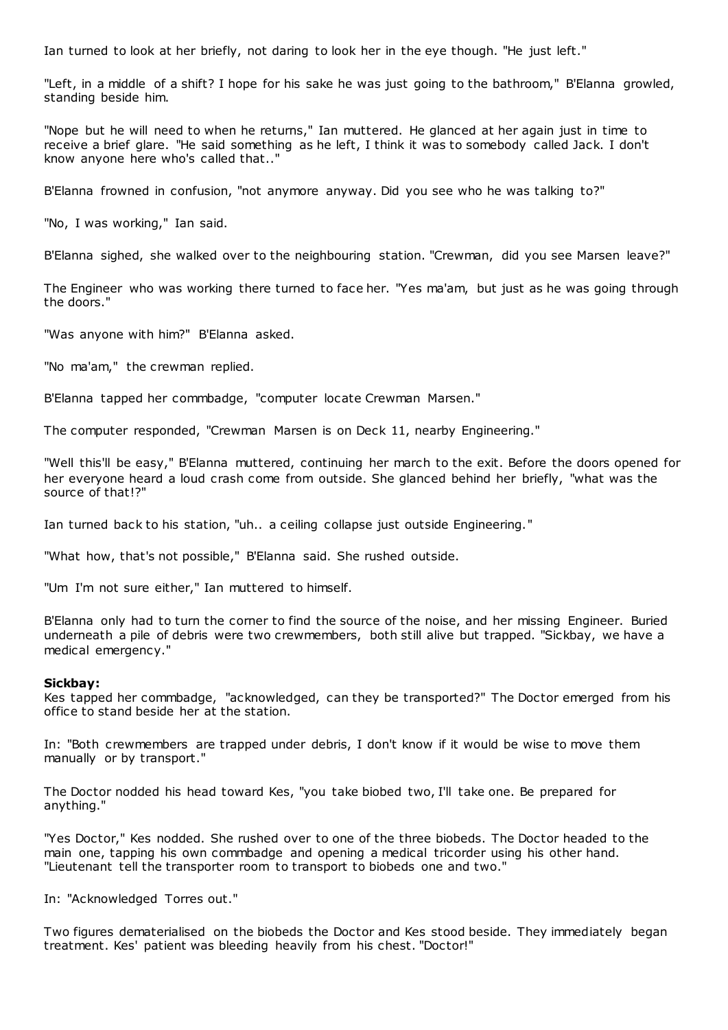Ian turned to look at her briefly, not daring to look her in the eye though. "He just left."

"Left, in a middle of a shift? I hope for his sake he was just going to the bathroom," B'Elanna growled, standing beside him.

"Nope but he will need to when he returns," Ian muttered. He glanced at her again just in time to receive a brief glare. "He said something as he left, I think it was to somebody called Jack. I don't know anyone here who's called that.."

B'Elanna frowned in confusion, "not anymore anyway. Did you see who he was talking to?"

"No, I was working," Ian said.

B'Elanna sighed, she walked over to the neighbouring station. "Crewman, did you see Marsen leave?"

The Engineer who was working there turned to face her. "Yes ma'am, but just as he was going through the doors."

"Was anyone with him?" B'Elanna asked.

"No ma'am," the crewman replied.

B'Elanna tapped her commbadge, "computer locate Crewman Marsen."

The computer responded, "Crewman Marsen is on Deck 11, nearby Engineering."

"Well this'll be easy," B'Elanna muttered, continuing her march to the exit. Before the doors opened for her everyone heard a loud crash come from outside. She glanced behind her briefly, "what was the source of that!?"

Ian turned back to his station, "uh.. a ceiling collapse just outside Engineering."

"What how, that's not possible," B'Elanna said. She rushed outside.

"Um I'm not sure either," Ian muttered to himself.

B'Elanna only had to turn the corner to find the source of the noise, and her missing Engineer. Buried underneath a pile of debris were two crewmembers, both still alive but trapped. "Sickbay, we have a medical emergency."

#### **Sickbay:**

Kes tapped her commbadge, "acknowledged, can they be transported?" The Doctor emerged from his office to stand beside her at the station.

In: "Both crewmembers are trapped under debris, I don't know if it would be wise to move them manually or by transport."

The Doctor nodded his head toward Kes, "you take biobed two, I'll take one. Be prepared for anything."

"Yes Doctor," Kes nodded. She rushed over to one of the three biobeds. The Doctor headed to the main one, tapping his own commbadge and opening a medical tricorder using his other hand. "Lieutenant tell the transporter room to transport to biobeds one and two."

In: "Acknowledged Torres out."

Two figures dematerialised on the biobeds the Doctor and Kes stood beside. They immediately began treatment. Kes' patient was bleeding heavily from his chest. "Doctor!"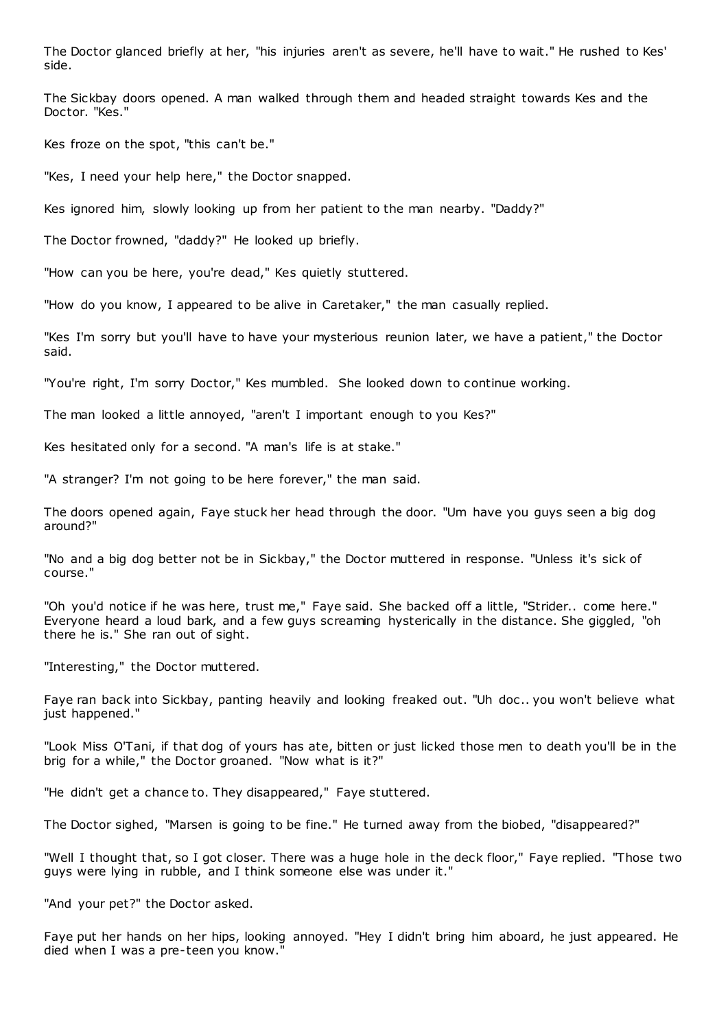The Doctor glanced briefly at her, "his injuries aren't as severe, he'll have to wait." He rushed to Kes' side.

The Sickbay doors opened. A man walked through them and headed straight towards Kes and the Doctor. "Kes."

Kes froze on the spot, "this can't be."

"Kes, I need your help here," the Doctor snapped.

Kes ignored him, slowly looking up from her patient to the man nearby. "Daddy?"

The Doctor frowned, "daddy?" He looked up briefly.

"How can you be here, you're dead," Kes quietly stuttered.

"How do you know, I appeared to be alive in Caretaker," the man casually replied.

"Kes I'm sorry but you'll have to have your mysterious reunion later, we have a patient," the Doctor said.

"You're right, I'm sorry Doctor," Kes mumbled. She looked down to continue working.

The man looked a little annoyed, "aren't I important enough to you Kes?"

Kes hesitated only for a second. "A man's life is at stake."

"A stranger? I'm not going to be here forever," the man said.

The doors opened again, Faye stuck her head through the door. "Um have you guys seen a big dog around?"

"No and a big dog better not be in Sickbay," the Doctor muttered in response. "Unless it's sick of course."

"Oh you'd notice if he was here, trust me," Faye said. She backed off a little, "Strider.. come here." Everyone heard a loud bark, and a few guys screaming hysterically in the distance. She giggled, "oh there he is." She ran out of sight.

"Interesting," the Doctor muttered.

Faye ran back into Sickbay, panting heavily and looking freaked out. "Uh doc .. you won't believe what just happened."

"Look Miss O'Tani, if that dog of yours has ate, bitten or just licked those men to death you'll be in the brig for a while," the Doctor groaned. "Now what is it?"

"He didn't get a chance to. They disappeared," Faye stuttered.

The Doctor sighed, "Marsen is going to be fine." He turned away from the biobed, "disappeared?"

"Well I thought that, so I got closer. There was a huge hole in the deck floor," Faye replied. "Those two guys were lying in rubble, and I think someone else was under it."

"And your pet?" the Doctor asked.

Faye put her hands on her hips, looking annoyed. "Hey I didn't bring him aboard, he just appeared. He died when I was a pre-teen you know."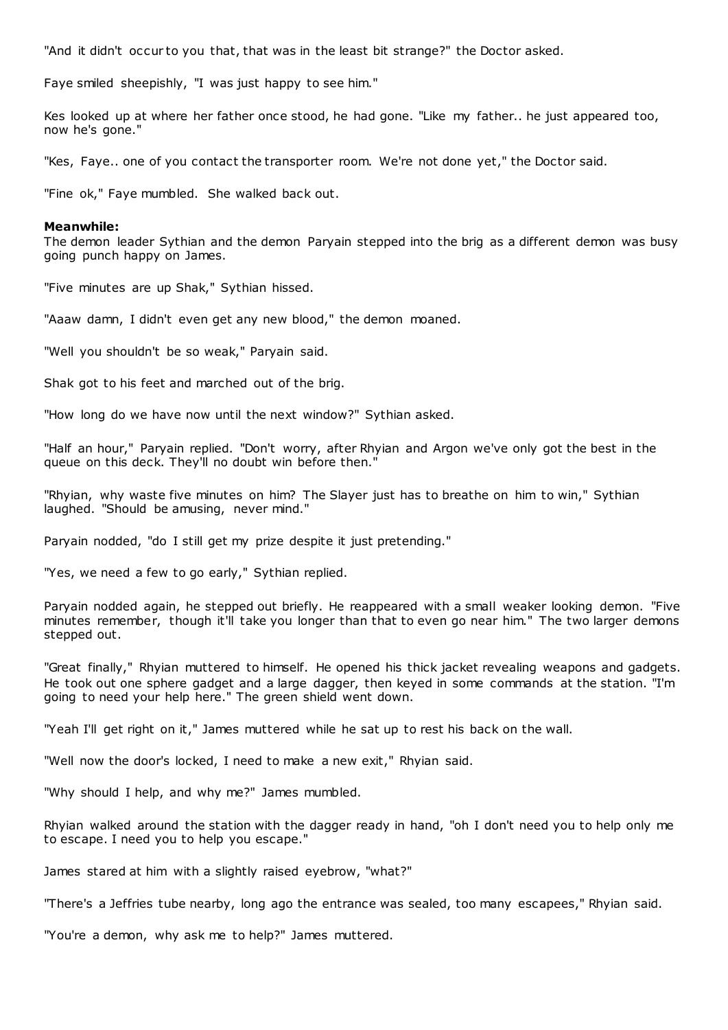"And it didn't occur to you that, that was in the least bit strange?" the Doctor asked.

Faye smiled sheepishly, "I was just happy to see him."

Kes looked up at where her father once stood, he had gone. "Like my father.. he just appeared too, now he's gone."

"Kes, Faye.. one of you contact the transporter room. We're not done yet," the Doctor said.

"Fine ok," Faye mumbled. She walked back out.

#### **Meanwhile:**

The demon leader Sythian and the demon Paryain stepped into the brig as a different demon was busy going punch happy on James.

"Five minutes are up Shak," Sythian hissed.

"Aaaw damn, I didn't even get any new blood," the demon moaned.

"Well you shouldn't be so weak," Paryain said.

Shak got to his feet and marched out of the brig.

"How long do we have now until the next window?" Sythian asked.

"Half an hour," Paryain replied. "Don't worry, after Rhyian and Argon we've only got the best in the queue on this deck. They'll no doubt win before then."

"Rhyian, why waste five minutes on him? The Slayer just has to breathe on him to win," Sythian laughed. "Should be amusing, never mind."

Paryain nodded, "do I still get my prize despite it just pretending."

"Yes, we need a few to go early," Sythian replied.

Paryain nodded again, he stepped out briefly. He reappeared with a small weaker looking demon. "Five minutes remember, though it'll take you longer than that to even go near him." The two larger demons stepped out.

"Great finally," Rhyian muttered to himself. He opened his thick jacket revealing weapons and gadgets. He took out one sphere gadget and a large dagger, then keyed in some commands at the station. "I'm going to need your help here." The green shield went down.

"Yeah I'll get right on it," James muttered while he sat up to rest his back on the wall.

"Well now the door's locked, I need to make a new exit," Rhyian said.

"Why should I help, and why me?" James mumbled.

Rhyian walked around the station with the dagger ready in hand, "oh I don't need you to help only me to escape. I need you to help you escape."

James stared at him with a slightly raised eyebrow, "what?"

"There's a Jeffries tube nearby, long ago the entrance was sealed, too many escapees," Rhyian said.

"You're a demon, why ask me to help?" James muttered.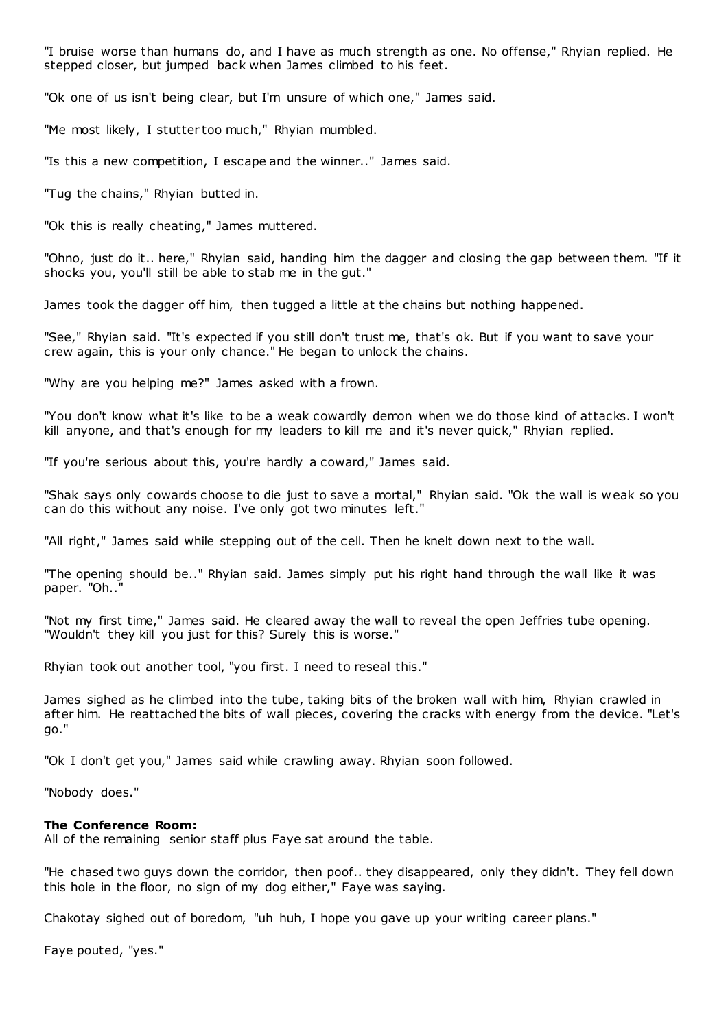"I bruise worse than humans do, and I have as much strength as one. No offense," Rhyian replied. He stepped closer, but jumped back when James climbed to his feet.

"Ok one of us isn't being clear, but I'm unsure of which one," James said.

"Me most likely, I stutter too much," Rhyian mumbled.

"Is this a new competition, I escape and the winner.." James said.

"Tug the chains," Rhyian butted in.

"Ok this is really cheating," James muttered.

"Ohno, just do it.. here," Rhyian said, handing him the dagger and closing the gap between them. "If it shocks you, you'll still be able to stab me in the gut."

James took the dagger off him, then tugged a little at the chains but nothing happened.

"See," Rhyian said. "It's expected if you still don't trust me, that's ok. But if you want to save your crew again, this is your only chance." He began to unlock the chains.

"Why are you helping me?" James asked with a frown.

"You don't know what it's like to be a weak cowardly demon when we do those kind of attacks. I won't kill anyone, and that's enough for my leaders to kill me and it's never quick," Rhyian replied.

"If you're serious about this, you're hardly a coward," James said.

"Shak says only cowards choose to die just to save a mortal," Rhyian said. "Ok the wall is w eak so you can do this without any noise. I've only got two minutes left."

"All right," James said while stepping out of the cell. Then he knelt down next to the wall.

"The opening should be.." Rhyian said. James simply put his right hand through the wall like it was paper. "Oh.."

"Not my first time," James said. He cleared away the wall to reveal the open Jeffries tube opening. "Wouldn't they kill you just for this? Surely this is worse."

Rhyian took out another tool, "you first. I need to reseal this."

James sighed as he climbed into the tube, taking bits of the broken wall with him, Rhyian crawled in after him. He reattached the bits of wall pieces, covering the cracks with energy from the device. "Let's go."

"Ok I don't get you," James said while crawling away. Rhyian soon followed.

"Nobody does."

#### **The Conference Room:**

All of the remaining senior staff plus Faye sat around the table.

"He chased two guys down the corridor, then poof.. they disappeared, only they didn't. They fell down this hole in the floor, no sign of my dog either," Faye was saying.

Chakotay sighed out of boredom, "uh huh, I hope you gave up your writing career plans."

Faye pouted, "yes."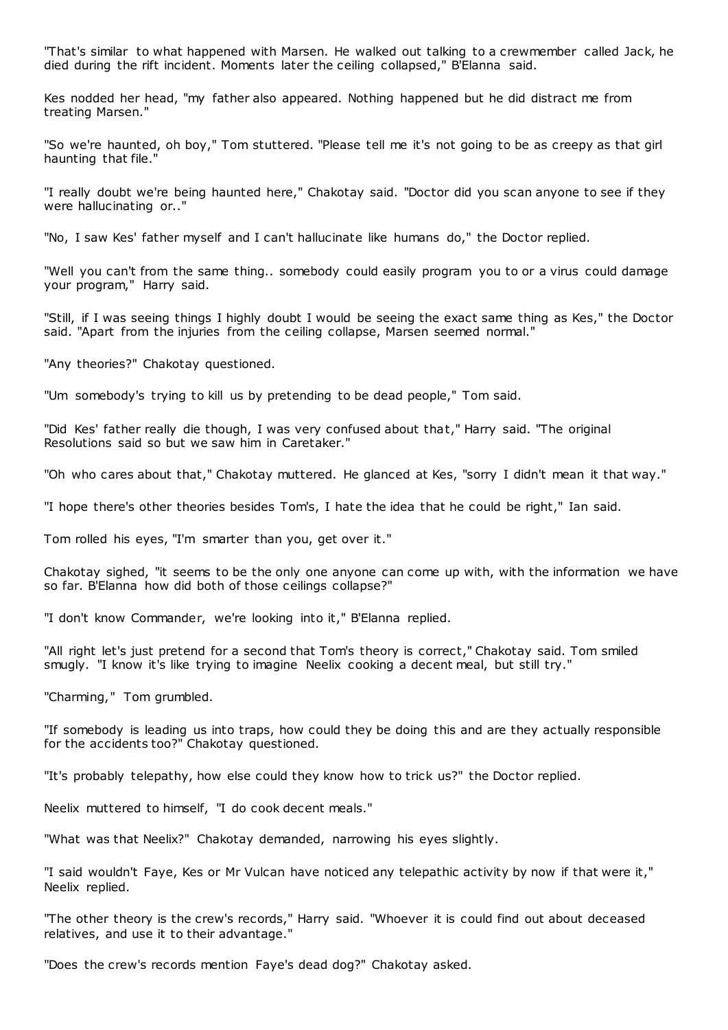"That's similar to what happened with Marsen. He walked out talking to a crewmember called Jack, he died during the rift incident. Moments later the ceiling collapsed," B'Elanna said.

Kes nodded her head, "my father also appeared. Nothing happened but he did distract me from treating Marsen."

"So we're haunted, oh boy," Tom stuttered. "Please tell me it's not going to be as creepy as that girl haunting that file."

"I really doubt we're being haunted here," Chakotay said. "Doctor did you scan anyone to see if they were hallucinating or.."

"No, I saw Kes' father myself and I can't hallucinate like humans do," the Doctor replied.

"Well you can't from the same thing.. somebody could easily program you to or a virus could damage your program," Harry said.

"Still, if I was seeing things I highly doubt I would be seeing the exact same thing as Kes," the Doctor said. "Apart from the injuries from the ceiling collapse, Marsen seemed normal."

"Any theories?" Chakotay questioned.

"Um somebody's trying to kill us by pretending to be dead people," Tom said.

"Did Kes' father really die though, I was very confused about that," Harry said. "The original Resolutions said so but we saw him in Caretaker."

"Oh who cares about that," Chakotay muttered. He glanced at Kes, "sorry I didn't mean it that way."

"I hope there's other theories besides Tom's, I hate the idea that he could be right," Ian said.

Tom rolled his eyes, "I'm smarter than you, get over it."

Chakotay sighed, "it seems to be the only one anyone can come up with, with the information we have so far. B'Elanna how did both of those ceilings collapse?"

"I don't know Commander, we're looking into it," B'Elanna replied.

"All right let's just pretend for a second that Tom's theory is correct," Chakotay said. Tom smiled smugly. "I know it's like trying to imagine Neelix cooking a decent meal, but still try."

"Charming," Tom grumbled.

"If somebody is leading us into traps, how could they be doing this and are they actually responsible for the accidents too?" Chakotay questioned.

"It's probably telepathy, how else could they know how to trick us?" the Doctor replied.

Neelix muttered to himself, "I do cook decent meals."

"What was that Neelix?" Chakotay demanded, narrowing his eyes slightly.

"I said wouldn't Faye, Kes or Mr Vulcan have noticed any telepathic activity by now if that were it," Neelix replied.

"The other theory is the crew's records," Harry said. "Whoever it is could find out about deceased relatives, and use it to their advantage."

"Does the crew's records mention Faye's dead dog?" Chakotay asked.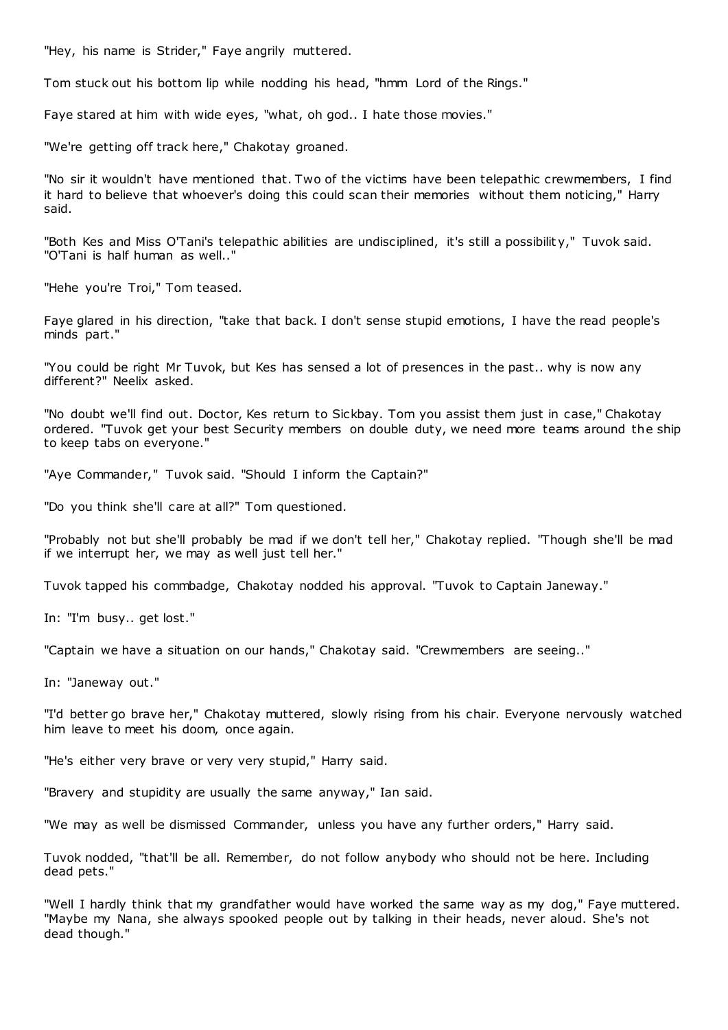"Hey, his name is Strider," Faye angrily muttered.

Tom stuck out his bottom lip while nodding his head, "hmm Lord of the Rings."

Faye stared at him with wide eyes, "what, oh god.. I hate those movies."

"We're getting off track here," Chakotay groaned.

"No sir it wouldn't have mentioned that. Two of the victims have been telepathic crewmembers, I find it hard to believe that whoever's doing this could scan their memories without them noticing," Harry said.

"Both Kes and Miss O'Tani's telepathic abilities are undisciplined, it's still a possibilit y," Tuvok said. "O'Tani is half human as well.."

"Hehe you're Troi," Tom teased.

Faye glared in his direction, "take that back. I don't sense stupid emotions, I have the read people's minds part."

"You could be right Mr Tuvok, but Kes has sensed a lot of presences in the past.. why is now any different?" Neelix asked.

"No doubt we'll find out. Doctor, Kes return to Sickbay. Tom you assist them just in case," Chakotay ordered. "Tuvok get your best Security members on double duty, we need more teams around the ship to keep tabs on everyone."

"Aye Commander," Tuvok said. "Should I inform the Captain?"

"Do you think she'll care at all?" Tom questioned.

"Probably not but she'll probably be mad if we don't tell her," Chakotay replied. "Though she'll be mad if we interrupt her, we may as well just tell her."

Tuvok tapped his commbadge, Chakotay nodded his approval. "Tuvok to Captain Janeway."

In: "I'm busy.. get lost."

"Captain we have a situation on our hands," Chakotay said. "Crewmembers are seeing.."

In: "Janeway out."

"I'd better go brave her," Chakotay muttered, slowly rising from his chair. Everyone nervously watched him leave to meet his doom, once again.

"He's either very brave or very very stupid," Harry said.

"Bravery and stupidity are usually the same anyway," Ian said.

"We may as well be dismissed Commander, unless you have any further orders," Harry said.

Tuvok nodded, "that'll be all. Remember, do not follow anybody who should not be here. Including dead pets."

"Well I hardly think that my grandfather would have worked the same way as my dog," Faye muttered. "Maybe my Nana, she always spooked people out by talking in their heads, never aloud. She's not dead though."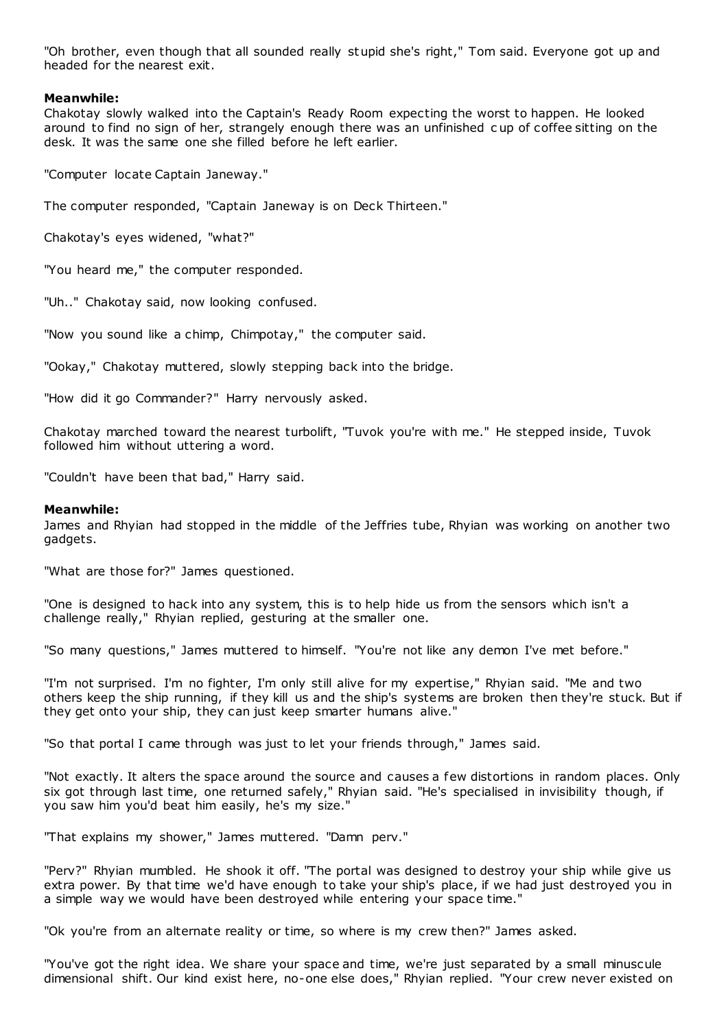"Oh brother, even though that all sounded really stupid she's right," Tom said. Everyone got up and headed for the nearest exit.

# **Meanwhile:**

Chakotay slowly walked into the Captain's Ready Room expecting the worst to happen. He looked around to find no sign of her, strangely enough there was an unfinished c up of coffee sitting on the desk. It was the same one she filled before he left earlier.

"Computer locate Captain Janeway."

The computer responded, "Captain Janeway is on Deck Thirteen."

Chakotay's eyes widened, "what?"

"You heard me," the computer responded.

"Uh.." Chakotay said, now looking confused.

"Now you sound like a chimp, Chimpotay," the computer said.

"Ookay," Chakotay muttered, slowly stepping back into the bridge.

"How did it go Commander?" Harry nervously asked.

Chakotay marched toward the nearest turbolift, "Tuvok you're with me." He stepped inside, Tuvok followed him without uttering a word.

"Couldn't have been that bad," Harry said.

# **Meanwhile:**

James and Rhyian had stopped in the middle of the Jeffries tube, Rhyian was working on another two gadgets.

"What are those for?" James questioned.

"One is designed to hack into any system, this is to help hide us from the sensors which isn't a challenge really," Rhyian replied, gesturing at the smaller one.

"So many questions," James muttered to himself. "You're not like any demon I've met before."

"I'm not surprised. I'm no fighter, I'm only still alive for my expertise," Rhyian said. "Me and two others keep the ship running, if they kill us and the ship's systems are broken then they're stuck. But if they get onto your ship, they can just keep smarter humans alive."

"So that portal I came through was just to let your friends through," James said.

"Not exactly. It alters the space around the source and causes a few distortions in random places. Only six got through last time, one returned safely," Rhyian said. "He's specialised in invisibility though, if you saw him you'd beat him easily, he's my size."

"That explains my shower," James muttered. "Damn perv."

"Perv?" Rhyian mumbled. He shook it off. "The portal was designed to destroy your ship while give us extra power. By that time we'd have enough to take your ship's place, if we had just destroyed you in a simple way we would have been destroyed while entering your space time."

"Ok you're from an alternate reality or time, so where is my crew then?" James asked.

"You've got the right idea. We share your space and time, we're just separated by a small minuscule dimensional shift. Our kind exist here, no-one else does," Rhyian replied. "Your crew never existed on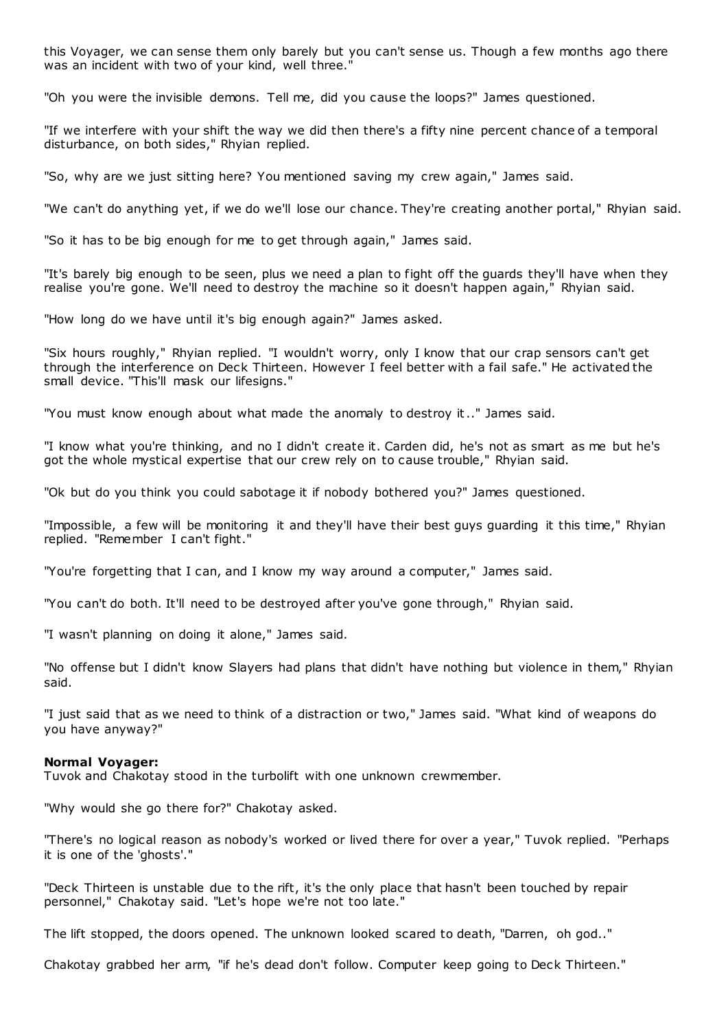this Voyager, we can sense them only barely but you can't sense us. Though a few months ago there was an incident with two of your kind, well three."

"Oh you were the invisible demons. Tell me, did you cause the loops?" James questioned.

"If we interfere with your shift the way we did then there's a fifty nine percent chance of a temporal disturbance, on both sides," Rhyian replied.

"So, why are we just sitting here? You mentioned saving my crew again," James said.

"We can't do anything yet, if we do we'll lose our chance. They're creating another portal," Rhyian said.

"So it has to be big enough for me to get through again," James said.

"It's barely big enough to be seen, plus we need a plan to fight off the guards they'll have when they realise you're gone. We'll need to destroy the machine so it doesn't happen again," Rhyian said.

"How long do we have until it's big enough again?" James asked.

"Six hours roughly," Rhyian replied. "I wouldn't worry, only I know that our crap sensors can't get through the interference on Deck Thirteen. However I feel better with a fail safe." He activated the small device. "This'll mask our lifesigns."

"You must know enough about what made the anomaly to destroy it.." James said.

"I know what you're thinking, and no I didn't create it. Carden did, he's not as smart as me but he's got the whole mystical expertise that our crew rely on to cause trouble," Rhyian said.

"Ok but do you think you could sabotage it if nobody bothered you?" James questioned.

"Impossible, a few will be monitoring it and they'll have their best guys guarding it this time," Rhyian replied. "Remember I can't fight."

"You're forgetting that I can, and I know my way around a computer," James said.

"You can't do both. It'll need to be destroyed after you've gone through," Rhyian said.

"I wasn't planning on doing it alone," James said.

"No offense but I didn't know Slayers had plans that didn't have nothing but violence in them," Rhyian said.

"I just said that as we need to think of a distraction or two," James said. "What kind of weapons do you have anyway?"

#### **Normal Voyager:**

Tuvok and Chakotay stood in the turbolift with one unknown crewmember.

"Why would she go there for?" Chakotay asked.

"There's no logical reason as nobody's worked or lived there for over a year," Tuvok replied. "Perhaps it is one of the 'ghosts'."

"Deck Thirteen is unstable due to the rift, it's the only place that hasn't been touched by repair personnel," Chakotay said. "Let's hope we're not too late."

The lift stopped, the doors opened. The unknown looked scared to death, "Darren, oh god.."

Chakotay grabbed her arm, "if he's dead don't follow. Computer keep going to Deck Thirteen."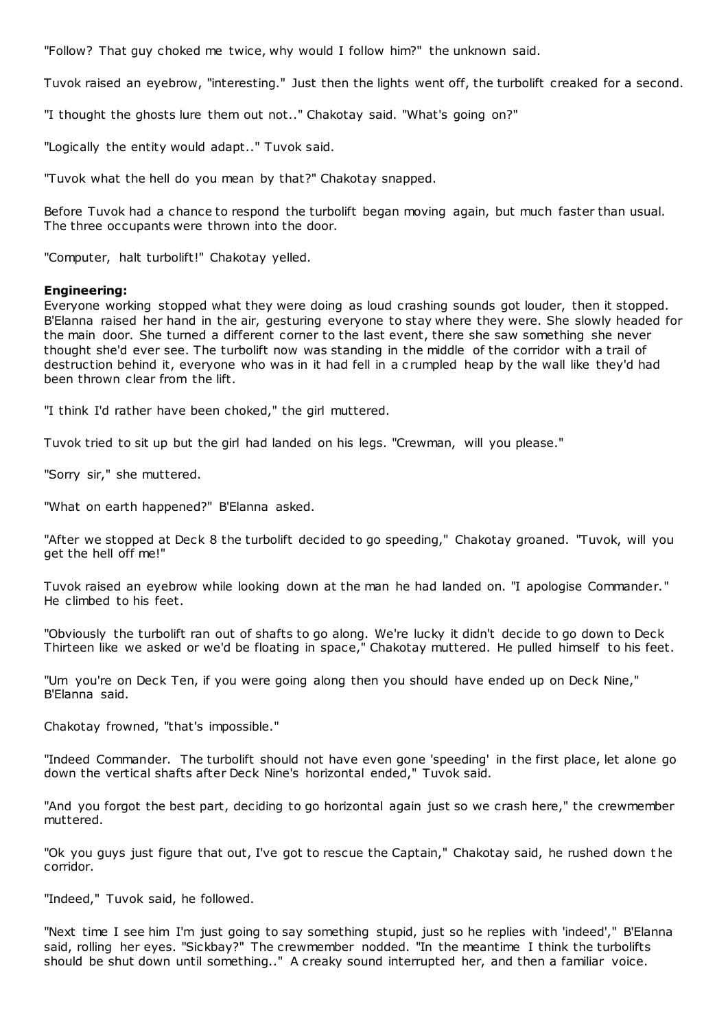"Follow? That guy choked me twice, why would I follow him?" the unknown said.

Tuvok raised an eyebrow, "interesting." Just then the lights went off, the turbolift creaked for a second.

"I thought the ghosts lure them out not.." Chakotay said. "What's going on?"

"Logically the entity would adapt.." Tuvok said.

"Tuvok what the hell do you mean by that?" Chakotay snapped.

Before Tuvok had a chance to respond the turbolift began moving again, but much faster than usual. The three occupants were thrown into the door.

"Computer, halt turbolift!" Chakotay yelled.

# **Engineering:**

Everyone working stopped what they were doing as loud crashing sounds got louder, then it stopped. B'Elanna raised her hand in the air, gesturing everyone to stay where they were. She slowly headed for the main door. She turned a different corner to the last event, there she saw something she never thought she'd ever see. The turbolift now was standing in the middle of the corridor with a trail of destruction behind it, everyone who was in it had fell in a c rumpled heap by the wall like they'd had been thrown clear from the lift.

"I think I'd rather have been choked," the girl muttered.

Tuvok tried to sit up but the girl had landed on his legs. "Crewman, will you please."

"Sorry sir," she muttered.

"What on earth happened?" B'Elanna asked.

"After we stopped at Deck 8 the turbolift decided to go speeding," Chakotay groaned. "Tuvok, will you get the hell off me!"

Tuvok raised an eyebrow while looking down at the man he had landed on. "I apologise Commander." He climbed to his feet.

"Obviously the turbolift ran out of shafts to go along. We're lucky it didn't decide to go down to Deck Thirteen like we asked or we'd be floating in space," Chakotay muttered. He pulled himself to his feet.

"Um you're on Deck Ten, if you were going along then you should have ended up on Deck Nine," B'Elanna said.

Chakotay frowned, "that's impossible."

"Indeed Commander. The turbolift should not have even gone 'speeding' in the first place, let alone go down the vertical shafts after Deck Nine's horizontal ended," Tuvok said.

"And you forgot the best part, deciding to go horizontal again just so we crash here," the crewmember muttered.

"Ok you guys just figure that out, I've got to rescue the Captain," Chakotay said, he rushed down t he corridor.

"Indeed," Tuvok said, he followed.

"Next time I see him I'm just going to say something stupid, just so he replies with 'indeed'," B'Elanna said, rolling her eyes. "Sickbay?" The crewmember nodded. "In the meantime I think the turbolifts should be shut down until something.." A creaky sound interrupted her, and then a familiar voice.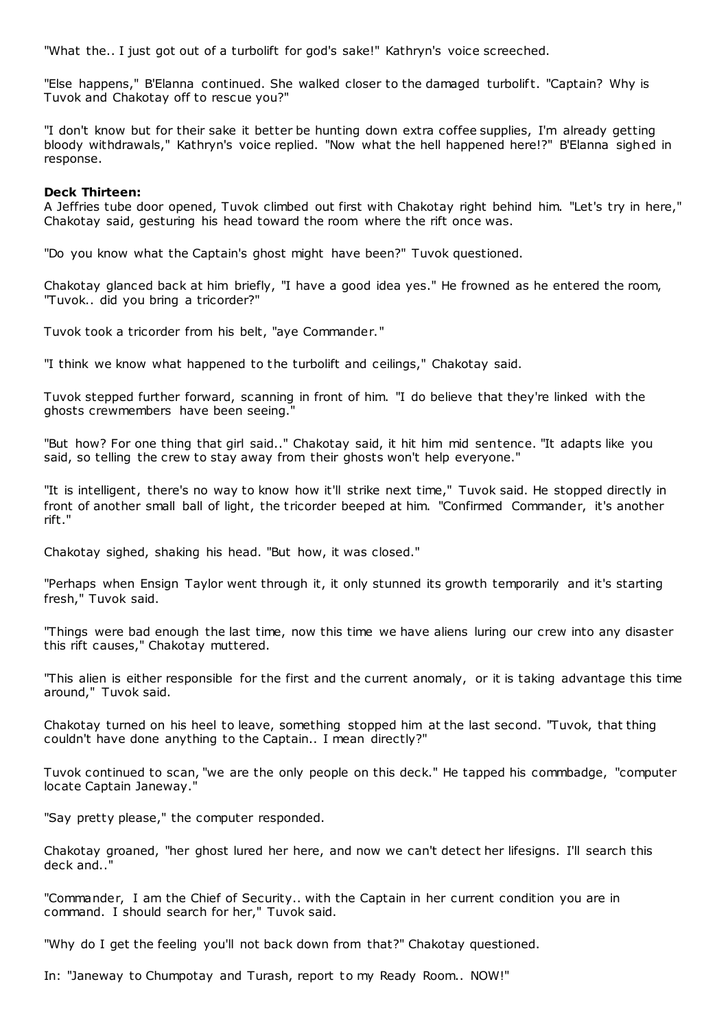"What the.. I just got out of a turbolift for god's sake!" Kathryn's voice screeched.

"Else happens," B'Elanna continued. She walked closer to the damaged turbolift. "Captain? Why is Tuvok and Chakotay off to rescue you?"

"I don't know but for their sake it better be hunting down extra coffee supplies, I'm already getting bloody withdrawals," Kathryn's voice replied. "Now what the hell happened here!?" B'Elanna sighed in response.

#### **Deck Thirteen:**

A Jeffries tube door opened, Tuvok climbed out first with Chakotay right behind him. "Let's try in here," Chakotay said, gesturing his head toward the room where the rift once was.

"Do you know what the Captain's ghost might have been?" Tuvok questioned.

Chakotay glanced back at him briefly, "I have a good idea yes." He frowned as he entered the room, "Tuvok.. did you bring a tricorder?"

Tuvok took a tricorder from his belt, "aye Commander."

"I think we know what happened to the turbolift and ceilings," Chakotay said.

Tuvok stepped further forward, scanning in front of him. "I do believe that they're linked with the ghosts crewmembers have been seeing."

"But how? For one thing that girl said.." Chakotay said, it hit him mid sentence. "It adapts like you said, so telling the crew to stay away from their ghosts won't help everyone."

"It is intelligent, there's no way to know how it'll strike next time," Tuvok said. He stopped directly in front of another small ball of light, the t ricorder beeped at him. "Confirmed Commander, it's another rift."

Chakotay sighed, shaking his head. "But how, it was closed."

"Perhaps when Ensign Taylor went through it, it only stunned its growth temporarily and it's starting fresh," Tuvok said.

"Things were bad enough the last time, now this time we have aliens luring our crew into any disaster this rift causes," Chakotay muttered.

"This alien is either responsible for the first and the current anomaly, or it is taking advantage this time around," Tuvok said.

Chakotay turned on his heel to leave, something stopped him at the last second. "Tuvok, that thing couldn't have done anything to the Captain.. I mean directly?"

Tuvok continued to scan, "we are the only people on this deck." He tapped his commbadge, "computer locate Captain Janeway."

"Say pretty please," the computer responded.

Chakotay groaned, "her ghost lured her here, and now we can't detect her lifesigns. I'll search this deck and..

"Commander, I am the Chief of Security.. with the Captain in her current condition you are in command. I should search for her," Tuvok said.

"Why do I get the feeling you'll not back down from that?" Chakotay questioned.

In: "Janeway to Chumpotay and Turash, report to my Ready Room.. NOW!"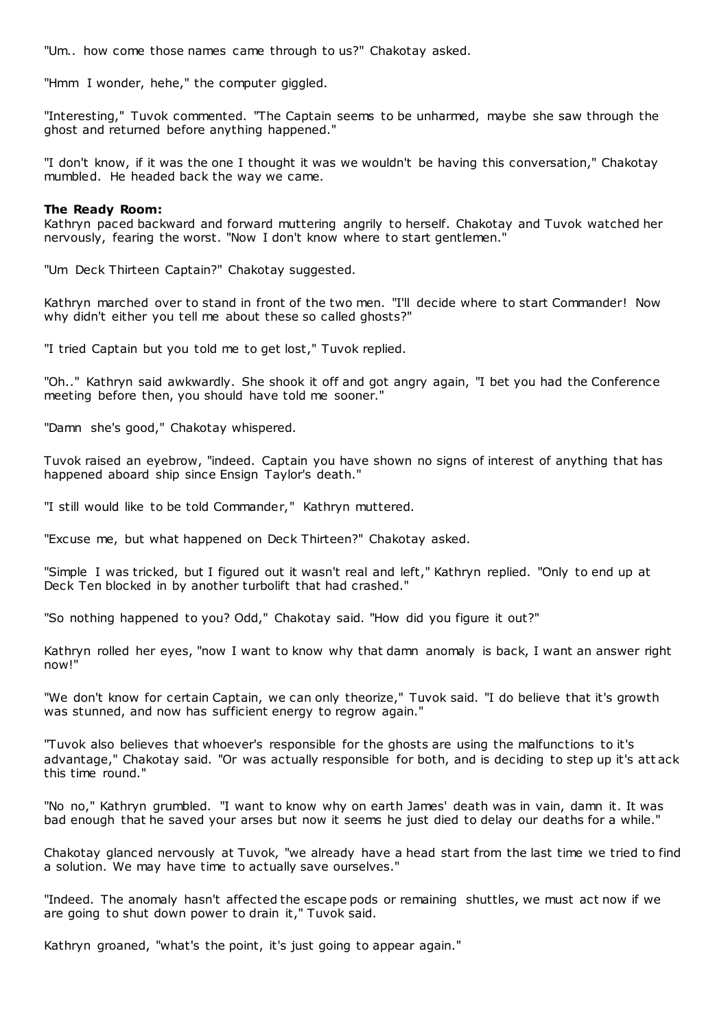"Um.. how come those names came through to us?" Chakotay asked.

"Hmm I wonder, hehe," the computer giggled.

"Interesting," Tuvok commented. "The Captain seems to be unharmed, maybe she saw through the ghost and returned before anything happened."

"I don't know, if it was the one I thought it was we wouldn't be having this conversation," Chakotay mumbled. He headed back the way we came.

#### **The Ready Room:**

Kathryn paced backward and forward muttering angrily to herself. Chakotay and Tuvok watched her nervously, fearing the worst. "Now I don't know where to start gentlemen."

"Um Deck Thirteen Captain?" Chakotay suggested.

Kathryn marched over to stand in front of the two men. "I'll decide where to start Commander! Now why didn't either you tell me about these so called ghosts?"

"I tried Captain but you told me to get lost," Tuvok replied.

"Oh.." Kathryn said awkwardly. She shook it off and got angry again, "I bet you had the Conference meeting before then, you should have told me sooner."

"Damn she's good," Chakotay whispered.

Tuvok raised an eyebrow, "indeed. Captain you have shown no signs of interest of anything that has happened aboard ship since Ensign Taylor's death."

"I still would like to be told Commander," Kathryn muttered.

"Excuse me, but what happened on Deck Thirteen?" Chakotay asked.

"Simple I was tricked, but I figured out it wasn't real and left," Kathryn replied. "Only to end up at Deck Ten blocked in by another turbolift that had crashed."

"So nothing happened to you? Odd," Chakotay said. "How did you figure it out?"

Kathryn rolled her eyes, "now I want to know why that damn anomaly is back, I want an answer right now!"

"We don't know for certain Captain, we can only theorize," Tuvok said. "I do believe that it's growth was stunned, and now has sufficient energy to regrow again."

"Tuvok also believes that whoever's responsible for the ghosts are using the malfunctions to it's advantage," Chakotay said. "Or was actually responsible for both, and is deciding to step up it's att ack this time round."

"No no," Kathryn grumbled. "I want to know why on earth James' death was in vain, damn it. It was bad enough that he saved your arses but now it seems he just died to delay our deaths for a while."

Chakotay glanced nervously at Tuvok, "we already have a head start from the last time we tried to find a solution. We may have time to actually save ourselves."

"Indeed. The anomaly hasn't affected the escape pods or remaining shuttles, we must act now if we are going to shut down power to drain it," Tuvok said.

Kathryn groaned, "what's the point, it's just going to appear again."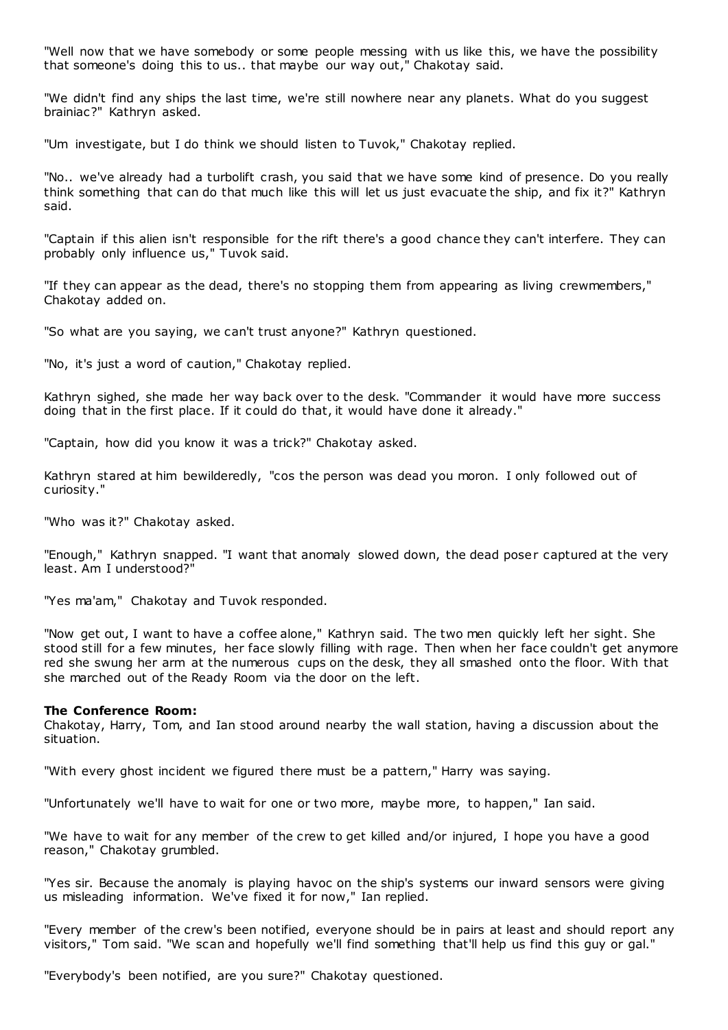"Well now that we have somebody or some people messing with us like this, we have the possibility that someone's doing this to us.. that maybe our way out," Chakotay said.

"We didn't find any ships the last time, we're still nowhere near any planets. What do you suggest brainiac?" Kathryn asked.

"Um investigate, but I do think we should listen to Tuvok," Chakotay replied.

"No.. we've already had a turbolift crash, you said that we have some kind of presence. Do you really think something that can do that much like this will let us just evacuate the ship, and fix it?" Kathryn said.

"Captain if this alien isn't responsible for the rift there's a good chance they can't interfere. They can probably only influence us," Tuvok said.

"If they can appear as the dead, there's no stopping them from appearing as living crewmembers," Chakotay added on.

"So what are you saying, we can't trust anyone?" Kathryn questioned.

"No, it's just a word of caution," Chakotay replied.

Kathryn sighed, she made her way back over to the desk. "Commander it would have more success doing that in the first place. If it could do that, it would have done it already."

"Captain, how did you know it was a trick?" Chakotay asked.

Kathryn stared at him bewilderedly, "cos the person was dead you moron. I only followed out of curiosity."

"Who was it?" Chakotay asked.

"Enough," Kathryn snapped. "I want that anomaly slowed down, the dead poser captured at the very least. Am I understood?"

"Yes ma'am," Chakotay and Tuvok responded.

"Now get out, I want to have a coffee alone," Kathryn said. The two men quickly left her sight. She stood still for a few minutes, her face slowly filling with rage. Then when her face couldn't get anymore red she swung her arm at the numerous cups on the desk, they all smashed onto the floor. With that she marched out of the Ready Room via the door on the left.

#### **The Conference Room:**

Chakotay, Harry, Tom, and Ian stood around nearby the wall station, having a discussion about the situation.

"With every ghost incident we figured there must be a pattern," Harry was saying.

"Unfortunately we'll have to wait for one or two more, maybe more, to happen," Ian said.

"We have to wait for any member of the crew to get killed and/or injured, I hope you have a good reason," Chakotay grumbled.

"Yes sir. Because the anomaly is playing havoc on the ship's systems our inward sensors were giving us misleading information. We've fixed it for now," Ian replied.

"Every member of the crew's been notified, everyone should be in pairs at least and should report any visitors," Tom said. "We scan and hopefully we'll find something that'll help us find this guy or gal."

"Everybody's been notified, are you sure?" Chakotay questioned.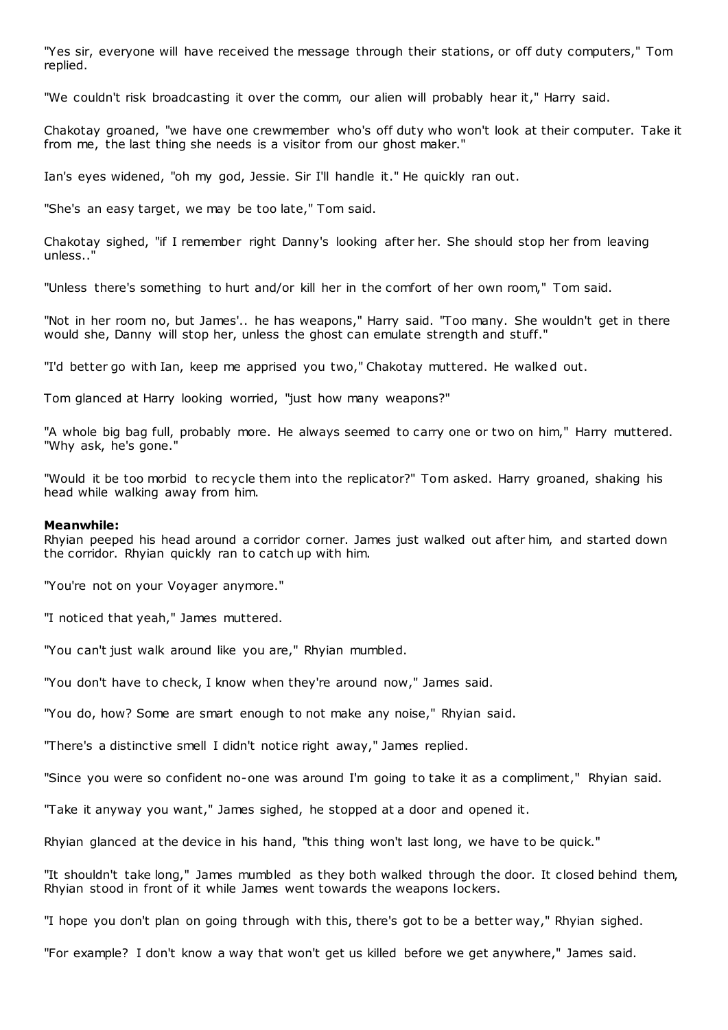"Yes sir, everyone will have received the message through their stations, or off duty computers," Tom replied.

"We couldn't risk broadcasting it over the comm, our alien will probably hear it," Harry said.

Chakotay groaned, "we have one crewmember who's off duty who won't look at their computer. Take it from me, the last thing she needs is a visitor from our ghost maker."

Ian's eyes widened, "oh my god, Jessie. Sir I'll handle it." He quickly ran out.

"She's an easy target, we may be too late," Tom said.

Chakotay sighed, "if I remember right Danny's looking after her. She should stop her from leaving unless.."

"Unless there's something to hurt and/or kill her in the comfort of her own room," Tom said.

"Not in her room no, but James'.. he has weapons," Harry said. "Too many. She wouldn't get in there would she, Danny will stop her, unless the ghost can emulate strength and stuff."

"I'd better go with Ian, keep me apprised you two," Chakotay muttered. He walked out.

Tom glanced at Harry looking worried, "just how many weapons?"

"A whole big bag full, probably more. He always seemed to carry one or two on him," Harry muttered. "Why ask, he's gone."

"Would it be too morbid to recycle them into the replicator?" Tom asked. Harry groaned, shaking his head while walking away from him.

#### **Meanwhile:**

Rhyian peeped his head around a corridor corner. James just walked out after him, and started down the corridor. Rhyian quickly ran to catch up with him.

"You're not on your Voyager anymore."

"I noticed that yeah," James muttered.

"You can't just walk around like you are," Rhyian mumbled.

"You don't have to check, I know when they're around now," James said.

"You do, how? Some are smart enough to not make any noise," Rhyian said.

"There's a distinctive smell I didn't notice right away," James replied.

"Since you were so confident no-one was around I'm going to take it as a compliment," Rhyian said.

"Take it anyway you want," James sighed, he stopped at a door and opened it.

Rhyian glanced at the device in his hand, "this thing won't last long, we have to be quick."

"It shouldn't take long," James mumbled as they both walked through the door. It closed behind them, Rhyian stood in front of it while James went towards the weapons lockers.

"I hope you don't plan on going through with this, there's got to be a better way," Rhyian sighed.

"For example? I don't know a way that won't get us killed before we get anywhere," James said.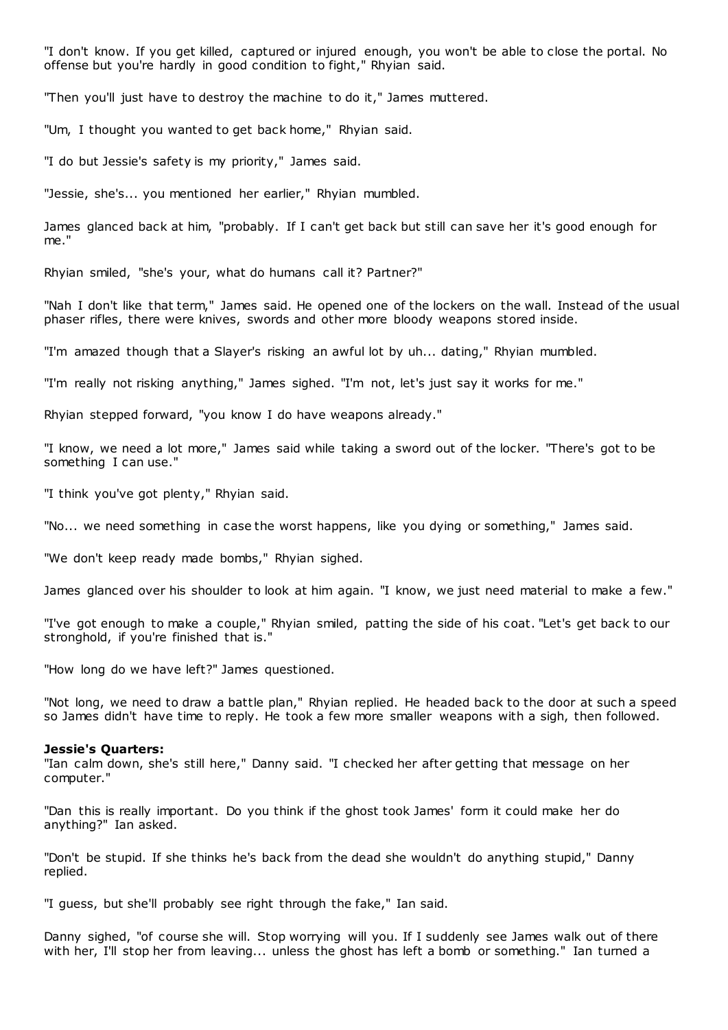"I don't know. If you get killed, captured or injured enough, you won't be able to close the portal. No offense but you're hardly in good condition to fight," Rhyian said.

"Then you'll just have to destroy the machine to do it," James muttered.

"Um, I thought you wanted to get back home," Rhyian said.

"I do but Jessie's safety is my priority," James said.

"Jessie, she's... you mentioned her earlier," Rhyian mumbled.

James glanced back at him, "probably. If I can't get back but still can save her it's good enough for me."

Rhyian smiled, "she's your, what do humans call it? Partner?"

"Nah I don't like that term," James said. He opened one of the lockers on the wall. Instead of the usual phaser rifles, there were knives, swords and other more bloody weapons stored inside.

"I'm amazed though that a Slayer's risking an awful lot by uh... dating," Rhyian mumbled.

"I'm really not risking anything," James sighed. "I'm not, let's just say it works for me."

Rhyian stepped forward, "you know I do have weapons already."

"I know, we need a lot more," James said while taking a sword out of the locker. "There's got to be something I can use."

"I think you've got plenty," Rhyian said.

"No... we need something in case the worst happens, like you dying or something," James said.

"We don't keep ready made bombs," Rhyian sighed.

James glanced over his shoulder to look at him again. "I know, we just need material to make a few."

"I've got enough to make a couple," Rhyian smiled, patting the side of his coat. "Let's get back to our stronghold, if you're finished that is."

"How long do we have left?" James questioned.

"Not long, we need to draw a battle plan," Rhyian replied. He headed back to the door at such a speed so James didn't have time to reply. He took a few more smaller weapons with a sigh, then followed.

#### **Jessie's Quarters:**

"Ian calm down, she's still here," Danny said. "I checked her after getting that message on her computer."

"Dan this is really important. Do you think if the ghost took James' form it could make her do anything?" Ian asked.

"Don't be stupid. If she thinks he's back from the dead she wouldn't do anything stupid," Danny replied.

"I guess, but she'll probably see right through the fake," Ian said.

Danny sighed, "of course she will. Stop worrying will you. If I suddenly see James walk out of there with her, I'll stop her from leaving... unless the ghost has left a bomb or something." Ian turned a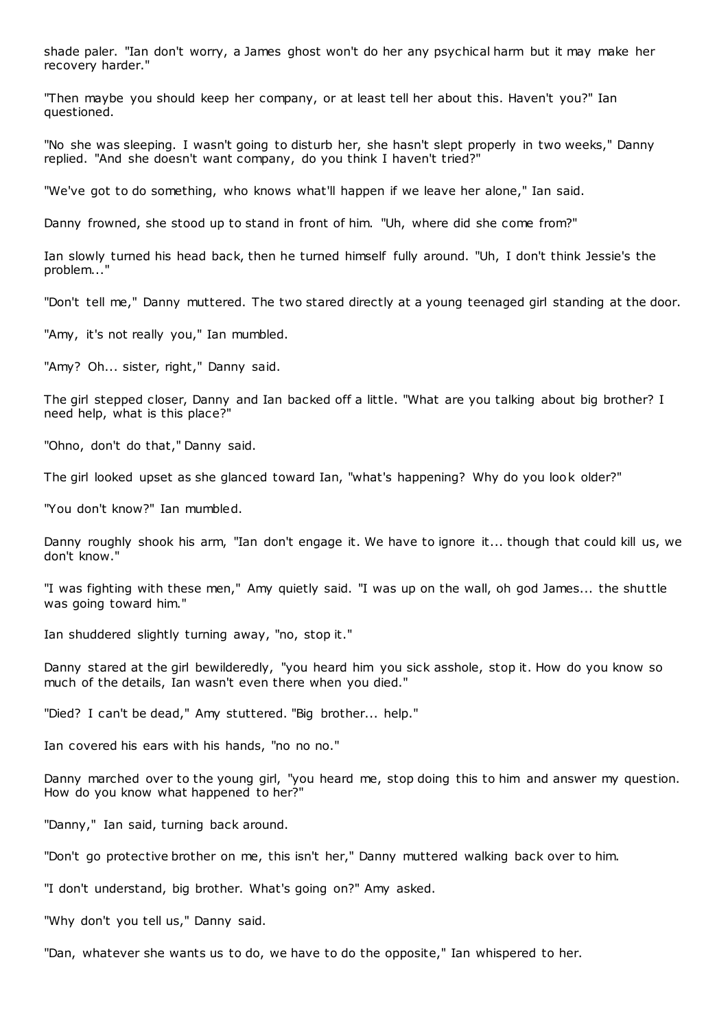shade paler. "Ian don't worry, a James ghost won't do her any psychical harm but it may make her recovery harder."

"Then maybe you should keep her company, or at least tell her about this. Haven't you?" Ian questioned.

"No she was sleeping. I wasn't going to disturb her, she hasn't slept properly in two weeks," Danny replied. "And she doesn't want company, do you think I haven't tried?"

"We've got to do something, who knows what'll happen if we leave her alone," Ian said.

Danny frowned, she stood up to stand in front of him. "Uh, where did she come from?"

Ian slowly turned his head back, then he turned himself fully around. "Uh, I don't think Jessie's the problem...'

"Don't tell me," Danny muttered. The two stared directly at a young teenaged girl standing at the door.

"Amy, it's not really you," Ian mumbled.

"Amy? Oh... sister, right," Danny said.

The girl stepped closer, Danny and Ian backed off a little. "What are you talking about big brother? I need help, what is this place?"

"Ohno, don't do that," Danny said.

The girl looked upset as she glanced toward Ian, "what's happening? Why do you look older?"

"You don't know?" Ian mumbled.

Danny roughly shook his arm, "Ian don't engage it. We have to ignore it... though that could kill us, we don't know."

"I was fighting with these men," Amy quietly said. "I was up on the wall, oh god James... the shuttle was going toward him."

Ian shuddered slightly turning away, "no, stop it."

Danny stared at the girl bewilderedly, "you heard him you sick asshole, stop it. How do you know so much of the details, Ian wasn't even there when you died."

"Died? I can't be dead," Amy stuttered. "Big brother... help."

Ian covered his ears with his hands, "no no no."

Danny marched over to the young girl, "you heard me, stop doing this to him and answer my question. How do you know what happened to her?"

"Danny," Ian said, turning back around.

"Don't go protective brother on me, this isn't her," Danny muttered walking back over to him.

"I don't understand, big brother. What's going on?" Amy asked.

"Why don't you tell us," Danny said.

"Dan, whatever she wants us to do, we have to do the opposite," Ian whispered to her.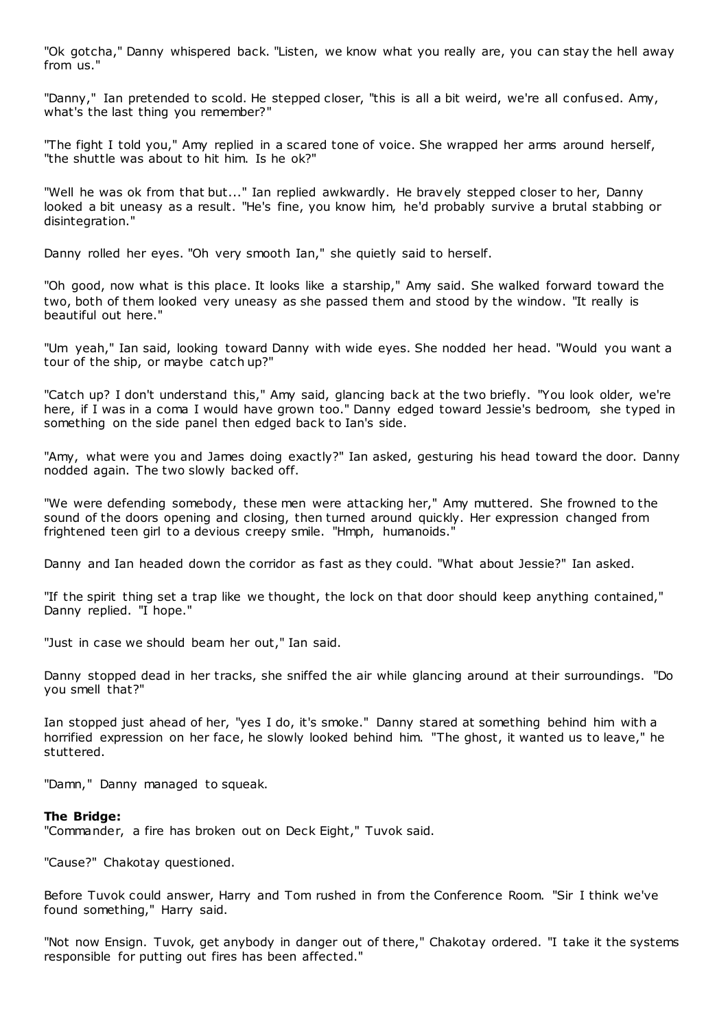"Ok gotcha," Danny whispered back. "Listen, we know what you really are, you can stay the hell away from us."

"Danny," Ian pretended to scold. He stepped closer, "this is all a bit weird, we're all confused. Amy, what's the last thing you remember?"

"The fight I told you," Amy replied in a scared tone of voice. She wrapped her arms around herself, "the shuttle was about to hit him. Is he ok?"

"Well he was ok from that but..." Ian replied awkwardly. He bravely stepped closer to her, Danny looked a bit uneasy as a result. "He's fine, you know him, he'd probably survive a brutal stabbing or disintegration."

Danny rolled her eyes. "Oh very smooth Ian," she quietly said to herself.

"Oh good, now what is this place. It looks like a starship," Amy said. She walked forward toward the two, both of them looked very uneasy as she passed them and stood by the window. "It really is beautiful out here."

"Um yeah," Ian said, looking toward Danny with wide eyes. She nodded her head. "Would you want a tour of the ship, or maybe catch up?"

"Catch up? I don't understand this," Amy said, glancing back at the two briefly. "You look older, we're here, if I was in a coma I would have grown too." Danny edged toward Jessie's bedroom, she typed in something on the side panel then edged back to Ian's side.

"Amy, what were you and James doing exactly?" Ian asked, gesturing his head toward the door. Danny nodded again. The two slowly backed off.

"We were defending somebody, these men were attacking her," Amy muttered. She frowned to the sound of the doors opening and closing, then turned around quickly. Her expression changed from frightened teen girl to a devious creepy smile. "Hmph, humanoids."

Danny and Ian headed down the corridor as fast as they could. "What about Jessie?" Ian asked.

"If the spirit thing set a trap like we thought, the lock on that door should keep anything contained," Danny replied. "I hope."

"Just in case we should beam her out," Ian said.

Danny stopped dead in her tracks, she sniffed the air while glancing around at their surroundings. "Do you smell that?"

Ian stopped just ahead of her, "yes I do, it's smoke." Danny stared at something behind him with a horrified expression on her face, he slowly looked behind him. "The ghost, it wanted us to leave," he stuttered.

"Damn," Danny managed to squeak.

# **The Bridge:**

"Commander, a fire has broken out on Deck Eight," Tuvok said.

"Cause?" Chakotay questioned.

Before Tuvok could answer, Harry and Tom rushed in from the Conference Room. "Sir I think we've found something," Harry said.

"Not now Ensign. Tuvok, get anybody in danger out of there," Chakotay ordered. "I take it the systems responsible for putting out fires has been affected."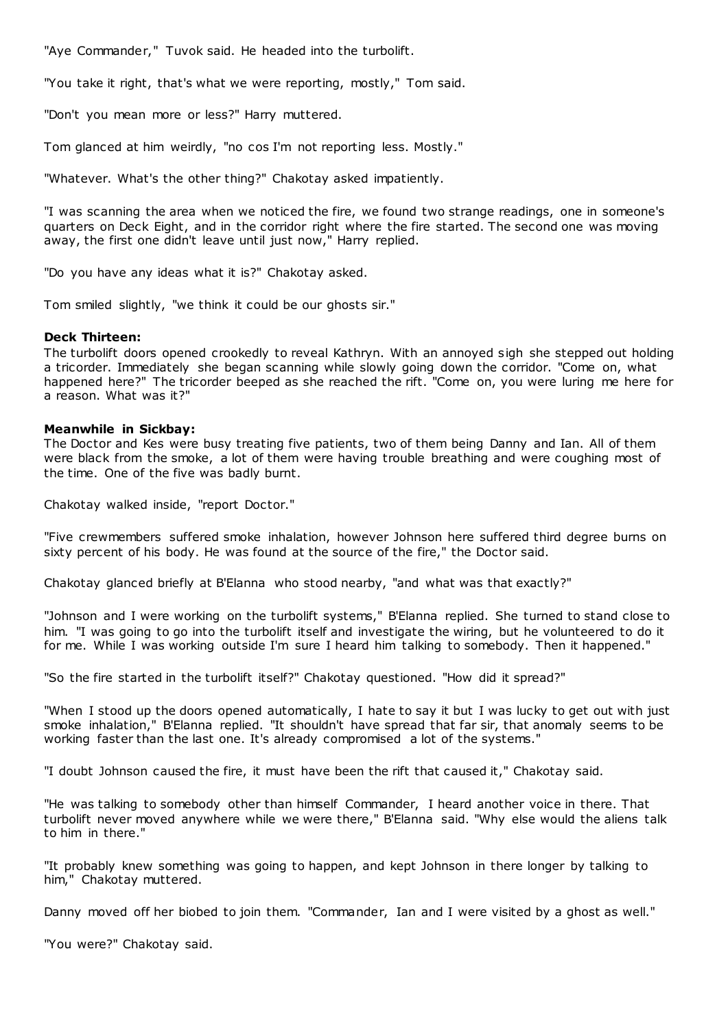"Aye Commander," Tuvok said. He headed into the turbolift.

"You take it right, that's what we were reporting, mostly," Tom said.

"Don't you mean more or less?" Harry muttered.

Tom glanced at him weirdly, "no cos I'm not reporting less. Mostly."

"Whatever. What's the other thing?" Chakotay asked impatiently.

"I was scanning the area when we noticed the fire, we found two strange readings, one in someone's quarters on Deck Eight, and in the corridor right where the fire started. The second one was moving away, the first one didn't leave until just now," Harry replied.

"Do you have any ideas what it is?" Chakotay asked.

Tom smiled slightly, "we think it could be our ghosts sir."

# **Deck Thirteen:**

The turbolift doors opened crookedly to reveal Kathryn. With an annoyed sigh she stepped out holding a tricorder. Immediately she began scanning while slowly going down the corridor. "Come on, what happened here?" The tricorder beeped as she reached the rift. "Come on, you were luring me here for a reason. What was it?"

# **Meanwhile in Sickbay:**

The Doctor and Kes were busy treating five patients, two of them being Danny and Ian. All of them were black from the smoke, a lot of them were having trouble breathing and were coughing most of the time. One of the five was badly burnt.

Chakotay walked inside, "report Doctor."

"Five crewmembers suffered smoke inhalation, however Johnson here suffered third degree burns on sixty percent of his body. He was found at the source of the fire," the Doctor said.

Chakotay glanced briefly at B'Elanna who stood nearby, "and what was that exactly?"

"Johnson and I were working on the turbolift systems," B'Elanna replied. She turned to stand close to him. "I was going to go into the turbolift itself and investigate the wiring, but he volunteered to do it for me. While I was working outside I'm sure I heard him talking to somebody. Then it happened."

"So the fire started in the turbolift itself?" Chakotay questioned. "How did it spread?"

"When I stood up the doors opened automatically, I hate to say it but I was lucky to get out with just smoke inhalation," B'Elanna replied. "It shouldn't have spread that far sir, that anomaly seems to be working faster than the last one. It's already compromised a lot of the systems."

"I doubt Johnson caused the fire, it must have been the rift that caused it," Chakotay said.

"He was talking to somebody other than himself Commander, I heard another voice in there. That turbolift never moved anywhere while we were there," B'Elanna said. "Why else would the aliens talk to him in there."

"It probably knew something was going to happen, and kept Johnson in there longer by talking to him," Chakotay muttered.

Danny moved off her biobed to join them. "Commander, Ian and I were visited by a ghost as well."

"You were?" Chakotay said.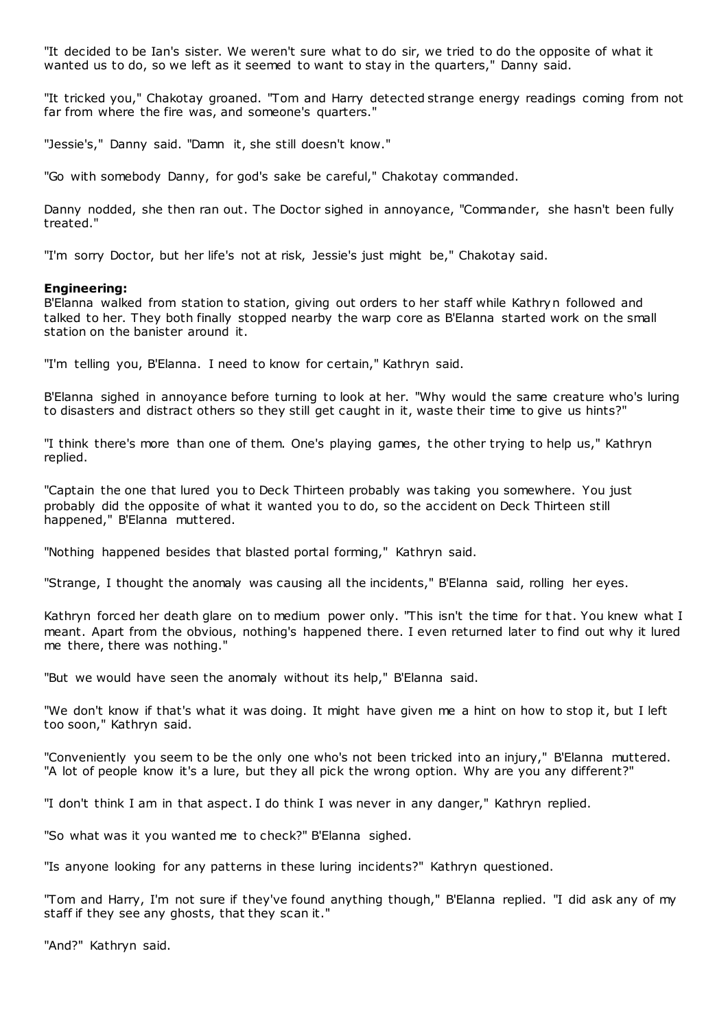"It decided to be Ian's sister. We weren't sure what to do sir, we tried to do the opposite of what it wanted us to do, so we left as it seemed to want to stay in the quarters," Danny said.

"It tricked you," Chakotay groaned. "Tom and Harry detected strange energy readings coming from not far from where the fire was, and someone's quarters."

"Jessie's," Danny said. "Damn it, she still doesn't know."

"Go with somebody Danny, for god's sake be careful," Chakotay commanded.

Danny nodded, she then ran out. The Doctor sighed in annoyance, "Commander, she hasn't been fully treated."

"I'm sorry Doctor, but her life's not at risk, Jessie's just might be," Chakotay said.

#### **Engineering:**

B'Elanna walked from station to station, giving out orders to her staff while Kathryn followed and talked to her. They both finally stopped nearby the warp core as B'Elanna started work on the small station on the banister around it.

"I'm telling you, B'Elanna. I need to know for certain," Kathryn said.

B'Elanna sighed in annoyance before turning to look at her. "Why would the same creature who's luring to disasters and distract others so they still get caught in it, waste their time to give us hints?"

"I think there's more than one of them. One's playing games, the other trying to help us," Kathryn replied.

"Captain the one that lured you to Deck Thirteen probably was taking you somewhere. You just probably did the opposite of what it wanted you to do, so the accident on Deck Thirteen still happened," B'Elanna muttered.

"Nothing happened besides that blasted portal forming," Kathryn said.

"Strange, I thought the anomaly was causing all the incidents," B'Elanna said, rolling her eyes.

Kathryn forced her death glare on to medium power only. "This isn't the time for t hat. You knew what I meant. Apart from the obvious, nothing's happened there. I even returned later to find out why it lured me there, there was nothing."

"But we would have seen the anomaly without its help," B'Elanna said.

"We don't know if that's what it was doing. It might have given me a hint on how to stop it, but I left too soon," Kathryn said.

"Conveniently you seem to be the only one who's not been tricked into an injury," B'Elanna muttered. "A lot of people know it's a lure, but they all pick the wrong option. Why are you any different?"

"I don't think I am in that aspect. I do think I was never in any danger," Kathryn replied.

"So what was it you wanted me to check?" B'Elanna sighed.

"Is anyone looking for any patterns in these luring incidents?" Kathryn questioned.

"Tom and Harry, I'm not sure if they've found anything though," B'Elanna replied. "I did ask any of my staff if they see any ghosts, that they scan it."

"And?" Kathryn said.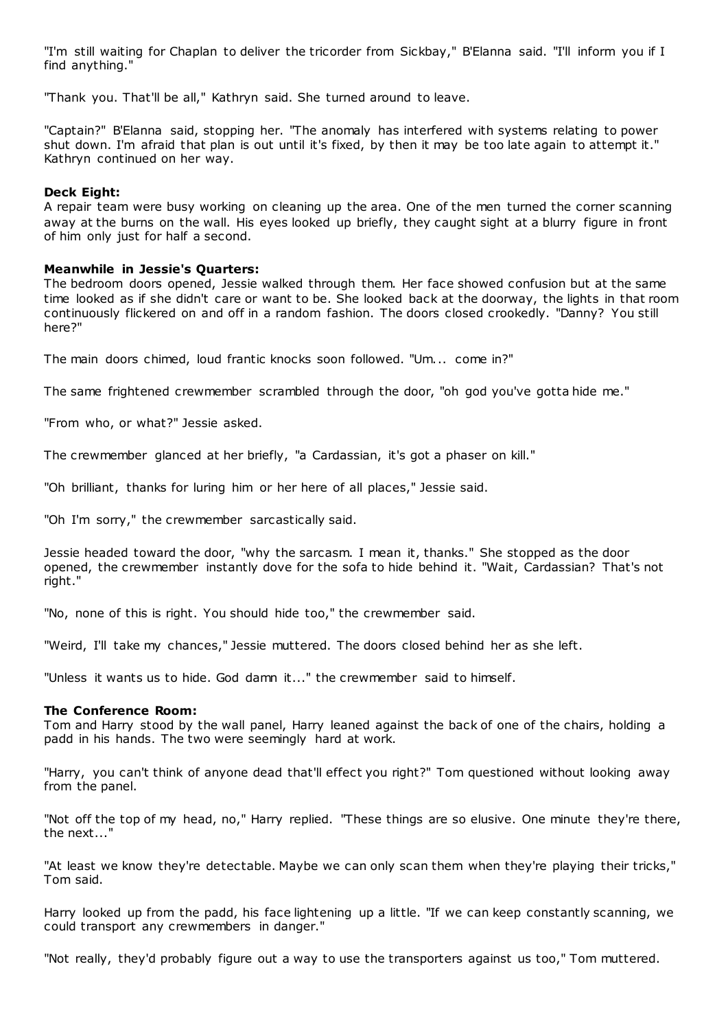"I'm still waiting for Chaplan to deliver the tricorder from Sickbay," B'Elanna said. "I'll inform you if I find anything."

"Thank you. That'll be all," Kathryn said. She turned around to leave.

"Captain?" B'Elanna said, stopping her. "The anomaly has interfered with systems relating to power shut down. I'm afraid that plan is out until it's fixed, by then it may be too late again to attempt it." Kathryn continued on her way.

# **Deck Eight:**

A repair team were busy working on cleaning up the area. One of the men turned the corner scanning away at the burns on the wall. His eyes looked up briefly, they caught sight at a blurry figure in front of him only just for half a second.

# **Meanwhile in Jessie's Quarters:**

The bedroom doors opened, Jessie walked through them. Her face showed confusion but at the same time looked as if she didn't care or want to be. She looked back at the doorway, the lights in that room continuously flickered on and off in a random fashion. The doors closed crookedly. "Danny? You still here?"

The main doors chimed, loud frantic knocks soon followed. "Um... come in?"

The same frightened crewmember scrambled through the door, "oh god you've gotta hide me."

"From who, or what?" Jessie asked.

The crewmember glanced at her briefly, "a Cardassian, it's got a phaser on kill."

"Oh brilliant, thanks for luring him or her here of all places," Jessie said.

"Oh I'm sorry," the crewmember sarcastically said.

Jessie headed toward the door, "why the sarcasm. I mean it, thanks." She stopped as the door opened, the crewmember instantly dove for the sofa to hide behind it. "Wait, Cardassian? That's not right."

"No, none of this is right. You should hide too," the crewmember said.

"Weird, I'll take my chances," Jessie muttered. The doors closed behind her as she left.

"Unless it wants us to hide. God damn it..." the crewmember said to himself.

# **The Conference Room:**

Tom and Harry stood by the wall panel, Harry leaned against the back of one of the chairs, holding a padd in his hands. The two were seemingly hard at work.

"Harry, you can't think of anyone dead that'll effect you right?" Tom questioned without looking away from the panel.

"Not off the top of my head, no," Harry replied. "These things are so elusive. One minute they're there, the next..."

"At least we know they're detectable. Maybe we can only scan them when they're playing their tricks," Tom said.

Harry looked up from the padd, his face lightening up a little. "If we can keep constantly scanning, we could transport any crewmembers in danger."

"Not really, they'd probably figure out a way to use the transporters against us too," Tom muttered.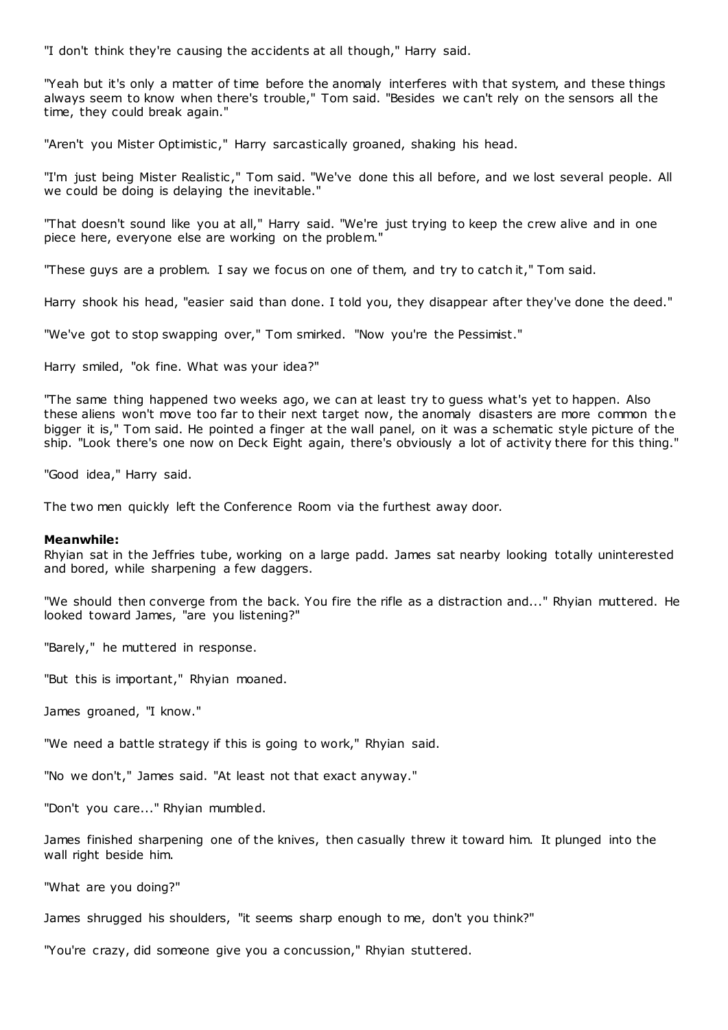"I don't think they're causing the accidents at all though," Harry said.

"Yeah but it's only a matter of time before the anomaly interferes with that system, and these things always seem to know when there's trouble," Tom said. "Besides we can't rely on the sensors all the time, they could break again."

"Aren't you Mister Optimistic ," Harry sarcastically groaned, shaking his head.

"I'm just being Mister Realistic ," Tom said. "We've done this all before, and we lost several people. All we could be doing is delaying the inevitable."

"That doesn't sound like you at all," Harry said. "We're just trying to keep the crew alive and in one piece here, everyone else are working on the problem."

"These guys are a problem. I say we focus on one of them, and try to catch it," Tom said.

Harry shook his head, "easier said than done. I told you, they disappear after they've done the deed."

"We've got to stop swapping over," Tom smirked. "Now you're the Pessimist."

Harry smiled, "ok fine. What was your idea?"

"The same thing happened two weeks ago, we can at least try to guess what's yet to happen. Also these aliens won't move too far to their next target now, the anomaly disasters are more common the bigger it is," Tom said. He pointed a finger at the wall panel, on it was a schematic style picture of the ship. "Look there's one now on Deck Eight again, there's obviously a lot of activity there for this thing."

"Good idea," Harry said.

The two men quickly left the Conference Room via the furthest away door.

#### **Meanwhile:**

Rhyian sat in the Jeffries tube, working on a large padd. James sat nearby looking totally uninterested and bored, while sharpening a few daggers.

"We should then converge from the back. You fire the rifle as a distraction and..." Rhyian muttered. He looked toward James, "are you listening?"

"Barely," he muttered in response.

"But this is important," Rhyian moaned.

James groaned, "I know."

"We need a battle strategy if this is going to work," Rhyian said.

"No we don't," James said. "At least not that exact anyway."

"Don't you care..." Rhyian mumbled.

James finished sharpening one of the knives, then casually threw it toward him. It plunged into the wall right beside him.

"What are you doing?"

James shrugged his shoulders, "it seems sharp enough to me, don't you think?"

"You're crazy, did someone give you a concussion," Rhyian stuttered.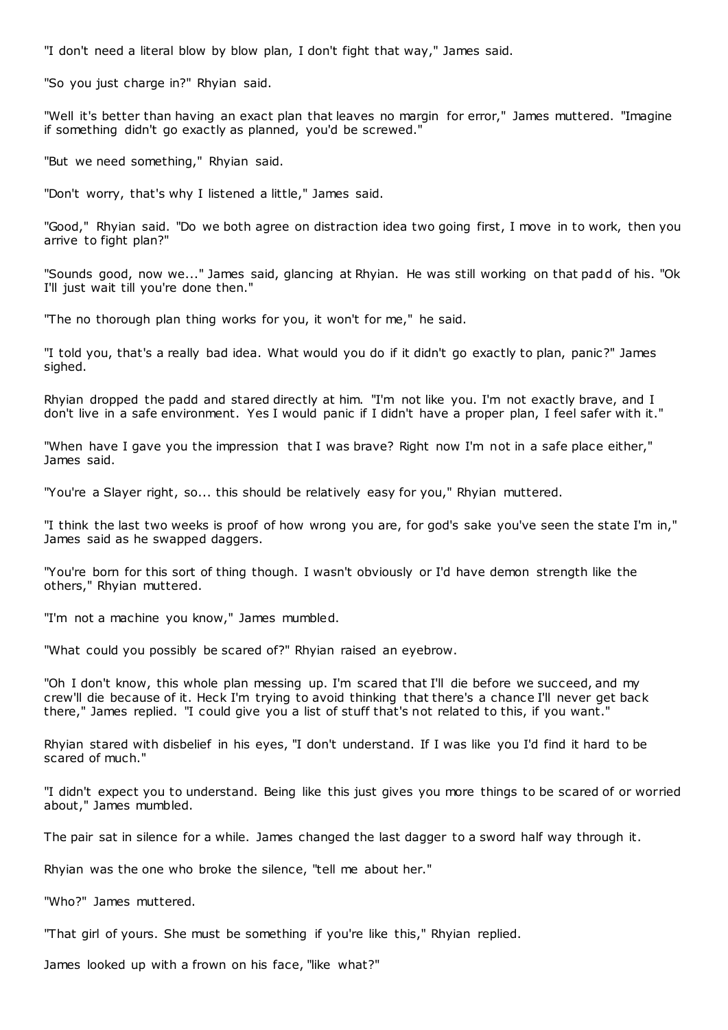"I don't need a literal blow by blow plan, I don't fight that way," James said.

"So you just charge in?" Rhyian said.

"Well it's better than having an exact plan that leaves no margin for error," James muttered. "Imagine if something didn't go exactly as planned, you'd be screwed."

"But we need something," Rhyian said.

"Don't worry, that's why I listened a little," James said.

"Good," Rhyian said. "Do we both agree on distraction idea two going first, I move in to work, then you arrive to fight plan?"

"Sounds good, now we..." James said, glancing at Rhyian. He was still working on that padd of his. "Ok I'll just wait till you're done then."

"The no thorough plan thing works for you, it won't for me," he said.

"I told you, that's a really bad idea. What would you do if it didn't go exactly to plan, panic?" James sighed.

Rhyian dropped the padd and stared directly at him. "I'm not like you. I'm not exactly brave, and I don't live in a safe environment. Yes I would panic if I didn't have a proper plan, I feel safer with it."

"When have I gave you the impression that I was brave? Right now I'm not in a safe place either," James said.

"You're a Slayer right, so... this should be relatively easy for you," Rhyian muttered.

"I think the last two weeks is proof of how wrong you are, for god's sake you've seen the state I'm in," James said as he swapped daggers.

"You're born for this sort of thing though. I wasn't obviously or I'd have demon strength like the others," Rhyian muttered.

"I'm not a machine you know," James mumbled.

"What could you possibly be scared of?" Rhyian raised an eyebrow.

"Oh I don't know, this whole plan messing up. I'm scared that I'll die before we succeed, and my crew'll die because of it. Heck I'm trying to avoid thinking that there's a chance I'll never get back there," James replied. "I could give you a list of stuff that's not related to this, if you want."

Rhyian stared with disbelief in his eyes, "I don't understand. If I was like you I'd find it hard to be scared of much."

"I didn't expect you to understand. Being like this just gives you more things to be scared of or worried about," James mumbled.

The pair sat in silence for a while. James changed the last dagger to a sword half way through it.

Rhyian was the one who broke the silence, "tell me about her."

"Who?" James muttered.

"That girl of yours. She must be something if you're like this," Rhyian replied.

James looked up with a frown on his face, "like what?"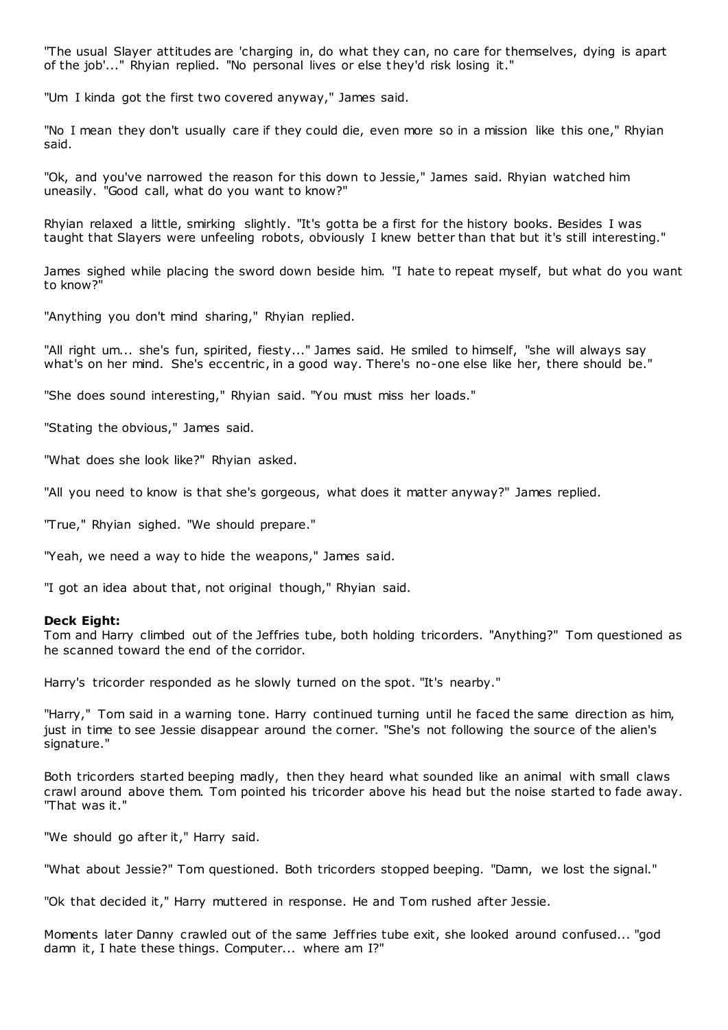"The usual Slayer attitudes are 'charging in, do what they can, no care for themselves, dying is apart of the job'..." Rhyian replied. "No personal lives or else they'd risk losing it."

"Um I kinda got the first two covered anyway," James said.

"No I mean they don't usually care if they could die, even more so in a mission like this one," Rhyian said.

"Ok, and you've narrowed the reason for this down to Jessie," James said. Rhyian watched him uneasily. "Good call, what do you want to know?"

Rhyian relaxed a little, smirking slightly. "It's gotta be a first for the history books. Besides I was taught that Slayers were unfeeling robots, obviously I knew better than that but it's still interesting."

James sighed while placing the sword down beside him. "I hate to repeat myself, but what do you want to know?"

"Anything you don't mind sharing," Rhyian replied.

"All right um... she's fun, spirited, fiesty..." James said. He smiled to himself, "she will always say what's on her mind. She's eccentric, in a good way. There's no-one else like her, there should be."

"She does sound interesting," Rhyian said. "You must miss her loads."

"Stating the obvious," James said.

"What does she look like?" Rhyian asked.

"All you need to know is that she's gorgeous, what does it matter anyway?" James replied.

"True," Rhyian sighed. "We should prepare."

"Yeah, we need a way to hide the weapons," James said.

"I got an idea about that, not original though," Rhyian said.

#### **Deck Eight:**

Tom and Harry climbed out of the Jeffries tube, both holding tricorders. "Anything?" Tom questioned as he scanned toward the end of the corridor.

Harry's tricorder responded as he slowly turned on the spot. "It's nearby."

"Harry," Tom said in a warning tone. Harry continued turning until he faced the same direction as him, just in time to see Jessie disappear around the corner. "She's not following the source of the alien's signature."

Both tricorders started beeping madly, then they heard what sounded like an animal with small claws crawl around above them. Tom pointed his tricorder above his head but the noise started to fade away. "That was it."

"We should go after it," Harry said.

"What about Jessie?" Tom questioned. Both tricorders stopped beeping. "Damn, we lost the signal."

"Ok that decided it," Harry muttered in response. He and Tom rushed after Jessie.

Moments later Danny crawled out of the same Jeffries tube exit, she looked around confused... "god damn it, I hate these things. Computer... where am I?"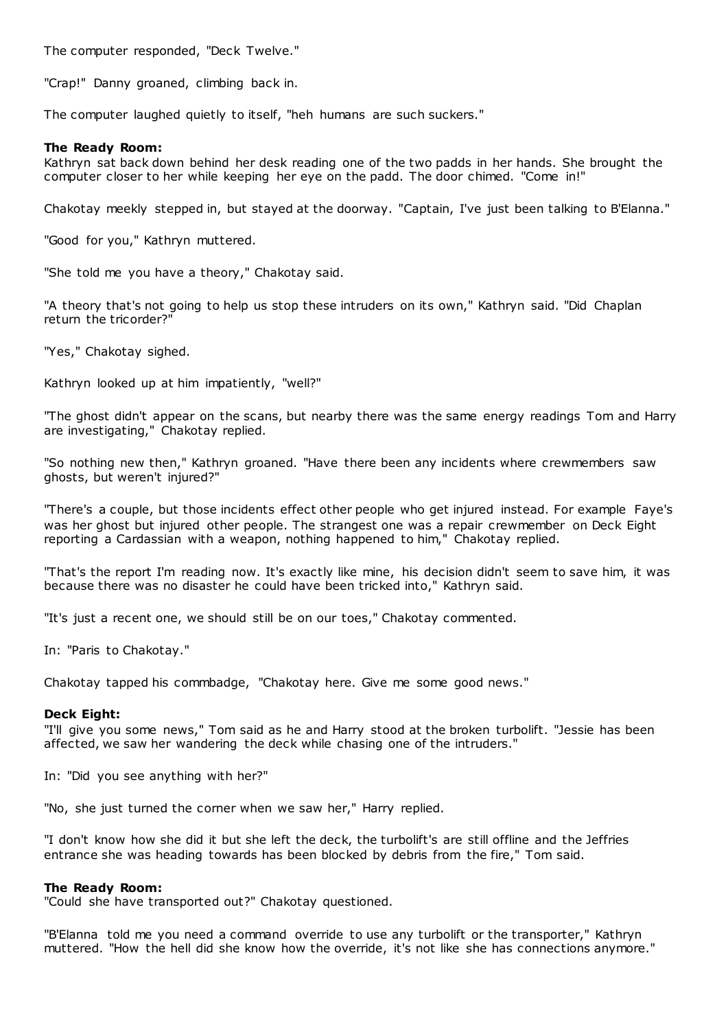The computer responded, "Deck Twelve."

"Crap!" Danny groaned, climbing back in.

The computer laughed quietly to itself, "heh humans are such suckers."

# **The Ready Room:**

Kathryn sat back down behind her desk reading one of the two padds in her hands. She brought the computer closer to her while keeping her eye on the padd. The door chimed. "Come in!"

Chakotay meekly stepped in, but stayed at the doorway. "Captain, I've just been talking to B'Elanna."

"Good for you," Kathryn muttered.

"She told me you have a theory," Chakotay said.

"A theory that's not going to help us stop these intruders on its own," Kathryn said. "Did Chaplan return the tricorder?"

"Yes," Chakotay sighed.

Kathryn looked up at him impatiently, "well?"

"The ghost didn't appear on the scans, but nearby there was the same energy readings Tom and Harry are investigating," Chakotay replied.

"So nothing new then," Kathryn groaned. "Have there been any incidents where crewmembers saw ghosts, but weren't injured?"

"There's a couple, but those incidents effect other people who get injured instead. For example Faye's was her ghost but injured other people. The strangest one was a repair crewmember on Deck Eight reporting a Cardassian with a weapon, nothing happened to him," Chakotay replied.

"That's the report I'm reading now. It's exactly like mine, his decision didn't seem to save him, it was because there was no disaster he could have been tricked into," Kathryn said.

"It's just a recent one, we should still be on our toes," Chakotay commented.

In: "Paris to Chakotay."

Chakotay tapped his commbadge, "Chakotay here. Give me some good news."

# **Deck Eight:**

"I'll give you some news," Tom said as he and Harry stood at the broken turbolift. "Jessie has been affected, we saw her wandering the deck while chasing one of the intruders."

In: "Did you see anything with her?"

"No, she just turned the corner when we saw her," Harry replied.

"I don't know how she did it but she left the deck, the turbolift's are still offline and the Jeffries entrance she was heading towards has been blocked by debris from the fire," Tom said.

# **The Ready Room:**

"Could she have transported out?" Chakotay questioned.

"B'Elanna told me you need a command override to use any turbolift or the transporter," Kathryn muttered. "How the hell did she know how the override, it's not like she has connections anymore."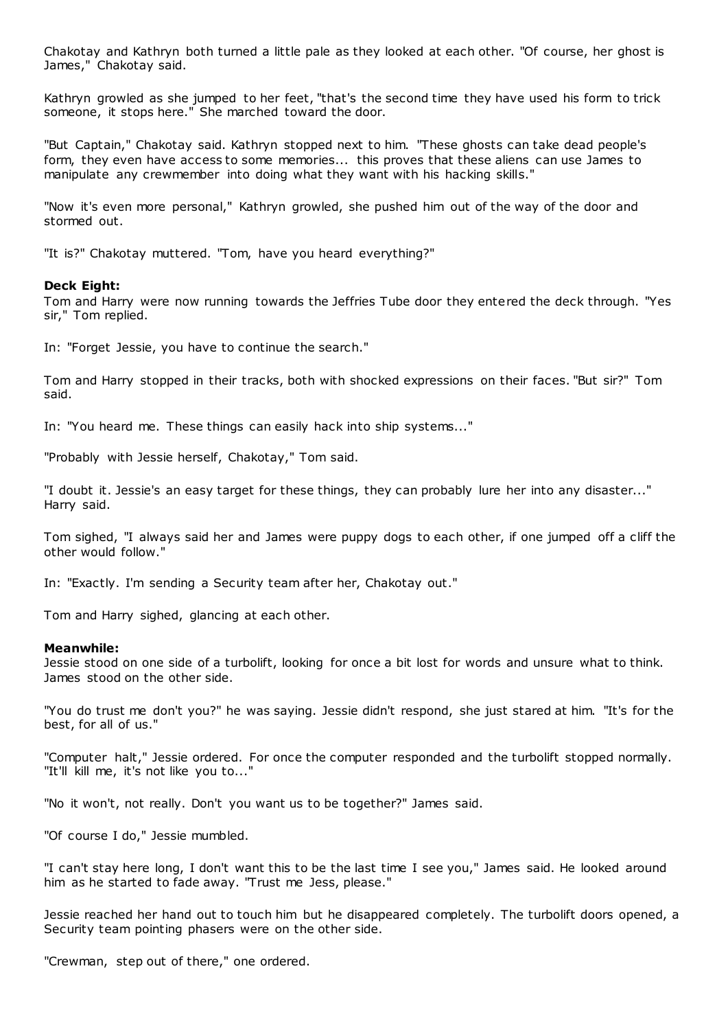Chakotay and Kathryn both turned a little pale as they looked at each other. "Of course, her ghost is James," Chakotay said.

Kathryn growled as she jumped to her feet, "that's the second time they have used his form to trick someone, it stops here." She marched toward the door.

"But Captain," Chakotay said. Kathryn stopped next to him. "These ghosts can take dead people's form, they even have access to some memories... this proves that these aliens can use James to manipulate any crewmember into doing what they want with his hacking skills."

"Now it's even more personal," Kathryn growled, she pushed him out of the way of the door and stormed out.

"It is?" Chakotay muttered. "Tom, have you heard everything?"

# **Deck Eight:**

Tom and Harry were now running towards the Jeffries Tube door they entered the deck through. "Yes sir," Tom replied.

In: "Forget Jessie, you have to continue the search."

Tom and Harry stopped in their tracks, both with shocked expressions on their faces. "But sir?" Tom said.

In: "You heard me. These things can easily hack into ship systems..."

"Probably with Jessie herself, Chakotay," Tom said.

"I doubt it. Jessie's an easy target for these things, they can probably lure her into any disaster..." Harry said.

Tom sighed, "I always said her and James were puppy dogs to each other, if one jumped off a cliff the other would follow."

In: "Exactly. I'm sending a Security team after her, Chakotay out."

Tom and Harry sighed, glancing at each other.

# **Meanwhile:**

Jessie stood on one side of a turbolift, looking for once a bit lost for words and unsure what to think. James stood on the other side.

"You do trust me don't you?" he was saying. Jessie didn't respond, she just stared at him. "It's for the best, for all of us."

"Computer halt," Jessie ordered. For once the computer responded and the turbolift stopped normally. "It'll kill me, it's not like you to..."

"No it won't, not really. Don't you want us to be together?" James said.

"Of course I do," Jessie mumbled.

"I can't stay here long, I don't want this to be the last time I see you," James said. He looked around him as he started to fade away. "Trust me Jess, please."

Jessie reached her hand out to touch him but he disappeared completely. The turbolift doors opened, a Security team pointing phasers were on the other side.

"Crewman, step out of there," one ordered.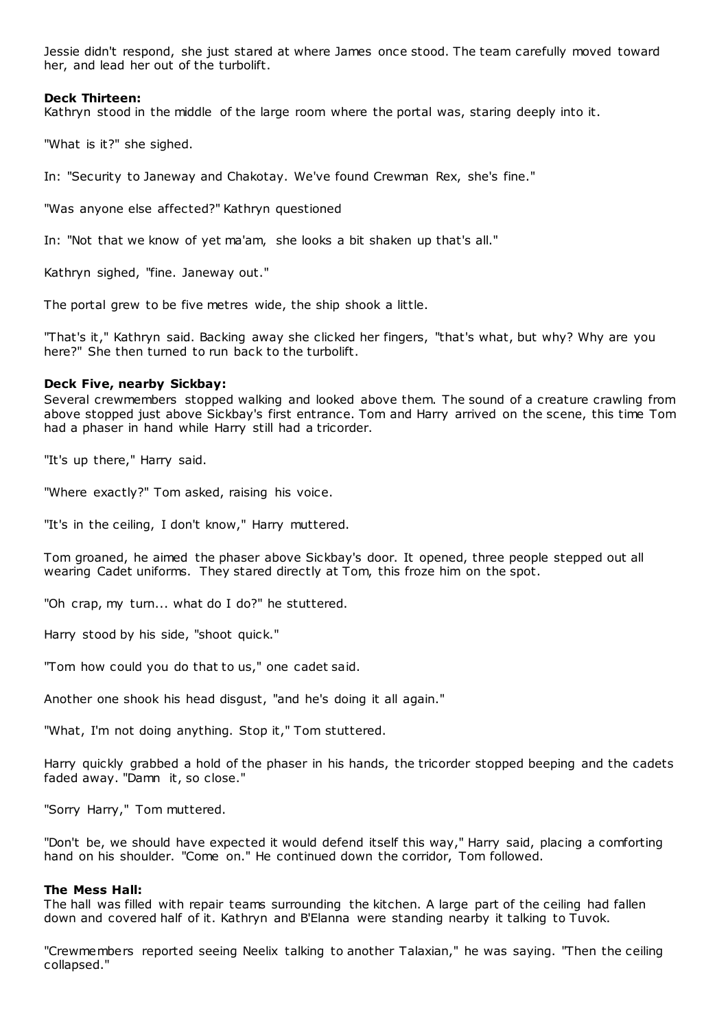Jessie didn't respond, she just stared at where James once stood. The team carefully moved toward her, and lead her out of the turbolift.

# **Deck Thirteen:**

Kathryn stood in the middle of the large room where the portal was, staring deeply into it.

"What is it?" she sighed.

In: "Security to Janeway and Chakotay. We've found Crewman Rex, she's fine."

"Was anyone else affected?" Kathryn questioned

In: "Not that we know of yet ma'am, she looks a bit shaken up that's all."

Kathryn sighed, "fine. Janeway out."

The portal grew to be five metres wide, the ship shook a little.

"That's it," Kathryn said. Backing away she clicked her fingers, "that's what, but why? Why are you here?" She then turned to run back to the turbolift.

#### **Deck Five, nearby Sickbay:**

Several crewmembers stopped walking and looked above them. The sound of a creature crawling from above stopped just above Sickbay's first entrance. Tom and Harry arrived on the scene, this time Tom had a phaser in hand while Harry still had a tricorder.

"It's up there," Harry said.

"Where exactly?" Tom asked, raising his voice.

"It's in the ceiling, I don't know," Harry muttered.

Tom groaned, he aimed the phaser above Sickbay's door. It opened, three people stepped out all wearing Cadet uniforms. They stared directly at Tom, this froze him on the spot.

"Oh crap, my turn... what do I do?" he stuttered.

Harry stood by his side, "shoot quick."

"Tom how could you do that to us," one cadet said.

Another one shook his head disgust, "and he's doing it all again."

"What, I'm not doing anything. Stop it," Tom stuttered.

Harry quickly grabbed a hold of the phaser in his hands, the tricorder stopped beeping and the cadets faded away. "Damn it, so close."

"Sorry Harry," Tom muttered.

"Don't be, we should have expected it would defend itself this way," Harry said, placing a comforting hand on his shoulder. "Come on." He continued down the corridor, Tom followed.

#### **The Mess Hall:**

The hall was filled with repair teams surrounding the kitchen. A large part of the ceiling had fallen down and covered half of it. Kathryn and B'Elanna were standing nearby it talking to Tuvok.

"Crewmembers reported seeing Neelix talking to another Talaxian," he was saying. "Then the ceiling collapsed."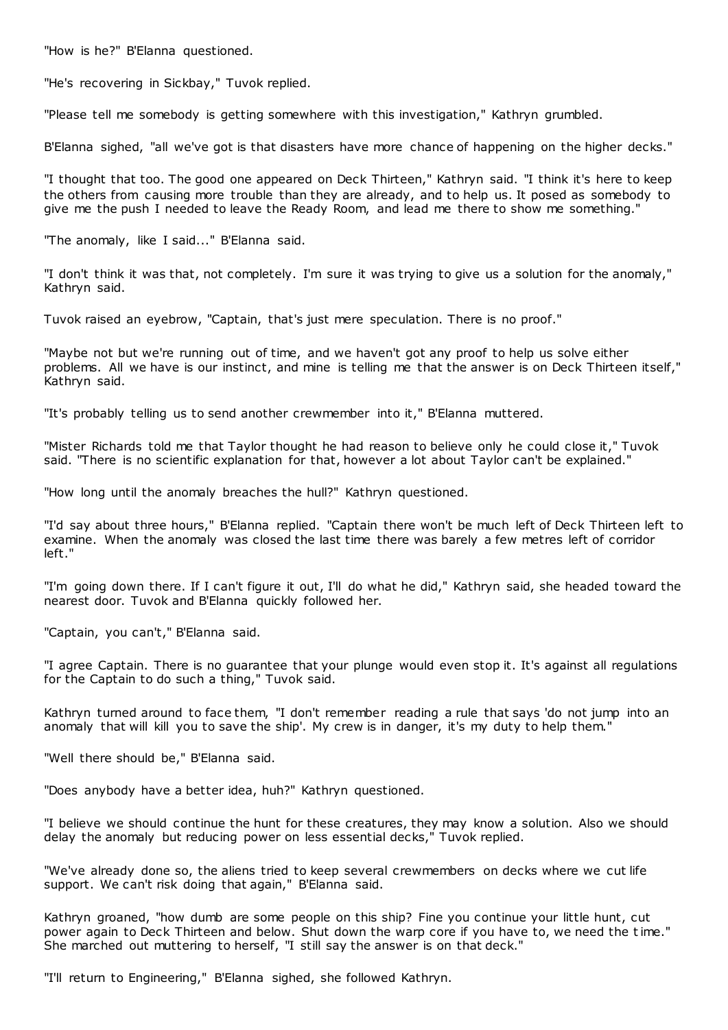"How is he?" B'Elanna questioned.

"He's recovering in Sickbay," Tuvok replied.

"Please tell me somebody is getting somewhere with this investigation," Kathryn grumbled.

B'Elanna sighed, "all we've got is that disasters have more chance of happening on the higher decks."

"I thought that too. The good one appeared on Deck Thirteen," Kathryn said. "I think it's here to keep the others from causing more trouble than they are already, and to help us. It posed as somebody to give me the push I needed to leave the Ready Room, and lead me there to show me something."

"The anomaly, like I said..." B'Elanna said.

"I don't think it was that, not completely. I'm sure it was trying to give us a solution for the anomaly," Kathryn said.

Tuvok raised an eyebrow, "Captain, that's just mere speculation. There is no proof."

"Maybe not but we're running out of time, and we haven't got any proof to help us solve either problems. All we have is our instinct, and mine is telling me that the answer is on Deck Thirteen itself," Kathryn said.

"It's probably telling us to send another crewmember into it," B'Elanna muttered.

"Mister Richards told me that Taylor thought he had reason to believe only he could close it," Tuvok said. "There is no scientific explanation for that, however a lot about Taylor can't be explained."

"How long until the anomaly breaches the hull?" Kathryn questioned.

"I'd say about three hours," B'Elanna replied. "Captain there won't be much left of Deck Thirteen left to examine. When the anomaly was closed the last time there was barely a few metres left of corridor left."

"I'm going down there. If I can't figure it out, I'll do what he did," Kathryn said, she headed toward the nearest door. Tuvok and B'Elanna quickly followed her.

"Captain, you can't," B'Elanna said.

"I agree Captain. There is no guarantee that your plunge would even stop it. It's against all regulations for the Captain to do such a thing," Tuvok said.

Kathryn turned around to face them, "I don't remember reading a rule that says 'do not jump into an anomaly that will kill you to save the ship'. My crew is in danger, it's my duty to help them."

"Well there should be," B'Elanna said.

"Does anybody have a better idea, huh?" Kathryn questioned.

"I believe we should continue the hunt for these creatures, they may know a solution. Also we should delay the anomaly but reducing power on less essential decks," Tuvok replied.

"We've already done so, the aliens tried to keep several crewmembers on decks where we cut life support. We can't risk doing that again," B'Elanna said.

Kathryn groaned, "how dumb are some people on this ship? Fine you continue your little hunt, cut power again to Deck Thirteen and below. Shut down the warp core if you have to, we need the time." She marched out muttering to herself, "I still say the answer is on that deck."

"I'll return to Engineering," B'Elanna sighed, she followed Kathryn.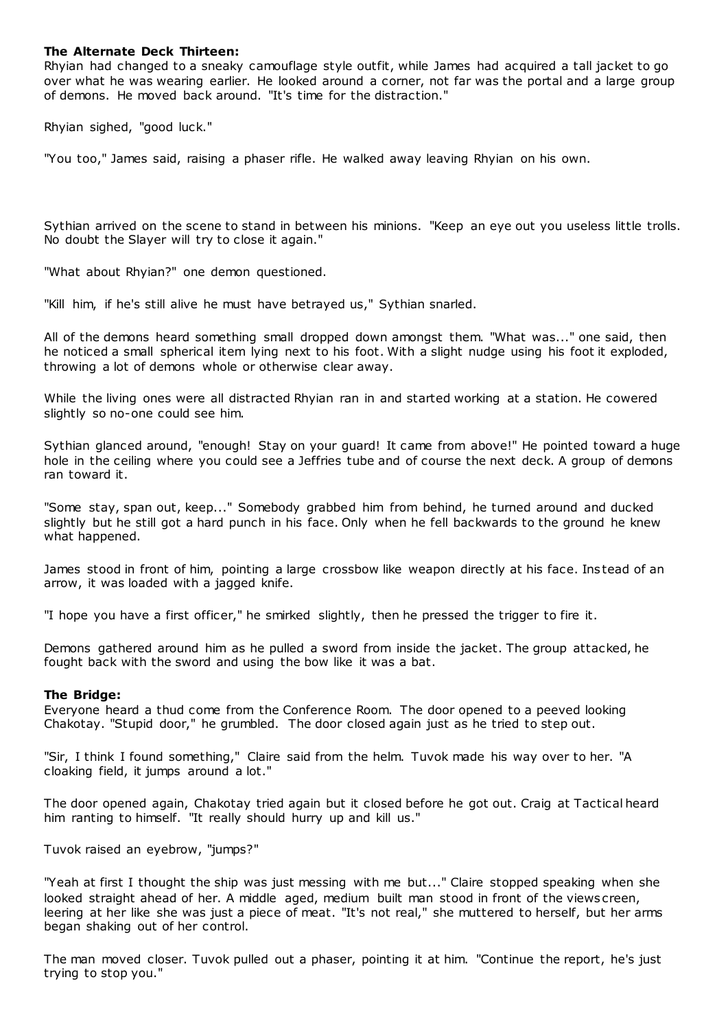# **The Alternate Deck Thirteen:**

Rhyian had changed to a sneaky camouflage style outfit, while James had acquired a tall jacket to go over what he was wearing earlier. He looked around a corner, not far was the portal and a large group of demons. He moved back around. "It's time for the distraction."

Rhyian sighed, "good luck."

"You too," James said, raising a phaser rifle. He walked away leaving Rhyian on his own.

Sythian arrived on the scene to stand in between his minions. "Keep an eye out you useless little trolls. No doubt the Slayer will try to close it again."

"What about Rhyian?" one demon questioned.

"Kill him, if he's still alive he must have betrayed us," Sythian snarled.

All of the demons heard something small dropped down amongst them. "What was..." one said, then he noticed a small spherical item lying next to his foot. With a slight nudge using his foot it exploded, throwing a lot of demons whole or otherwise clear away.

While the living ones were all distracted Rhyian ran in and started working at a station. He cowered slightly so no-one could see him.

Sythian glanced around, "enough! Stay on your guard! It came from above!" He pointed toward a huge hole in the ceiling where you could see a Jeffries tube and of course the next deck. A group of demons ran toward it.

"Some stay, span out, keep..." Somebody grabbed him from behind, he turned around and ducked slightly but he still got a hard punch in his face. Only when he fell backwards to the ground he knew what happened.

James stood in front of him, pointing a large crossbow like weapon directly at his face. Instead of an arrow, it was loaded with a jagged knife.

"I hope you have a first officer," he smirked slightly, then he pressed the trigger to fire it.

Demons gathered around him as he pulled a sword from inside the jacket. The group attacked, he fought back with the sword and using the bow like it was a bat.

# **The Bridge:**

Everyone heard a thud come from the Conference Room. The door opened to a peeved looking Chakotay. "Stupid door," he grumbled. The door closed again just as he tried to step out.

"Sir, I think I found something," Claire said from the helm. Tuvok made his way over to her. "A cloaking field, it jumps around a lot."

The door opened again, Chakotay tried again but it closed before he got out. Craig at Tactical heard him ranting to himself. "It really should hurry up and kill us."

Tuvok raised an eyebrow, "jumps?"

"Yeah at first I thought the ship was just messing with me but..." Claire stopped speaking when she looked straight ahead of her. A middle aged, medium built man stood in front of the views creen, leering at her like she was just a piece of meat. "It's not real," she muttered to herself, but her arms began shaking out of her control.

The man moved closer. Tuvok pulled out a phaser, pointing it at him. "Continue the report, he's just trying to stop you."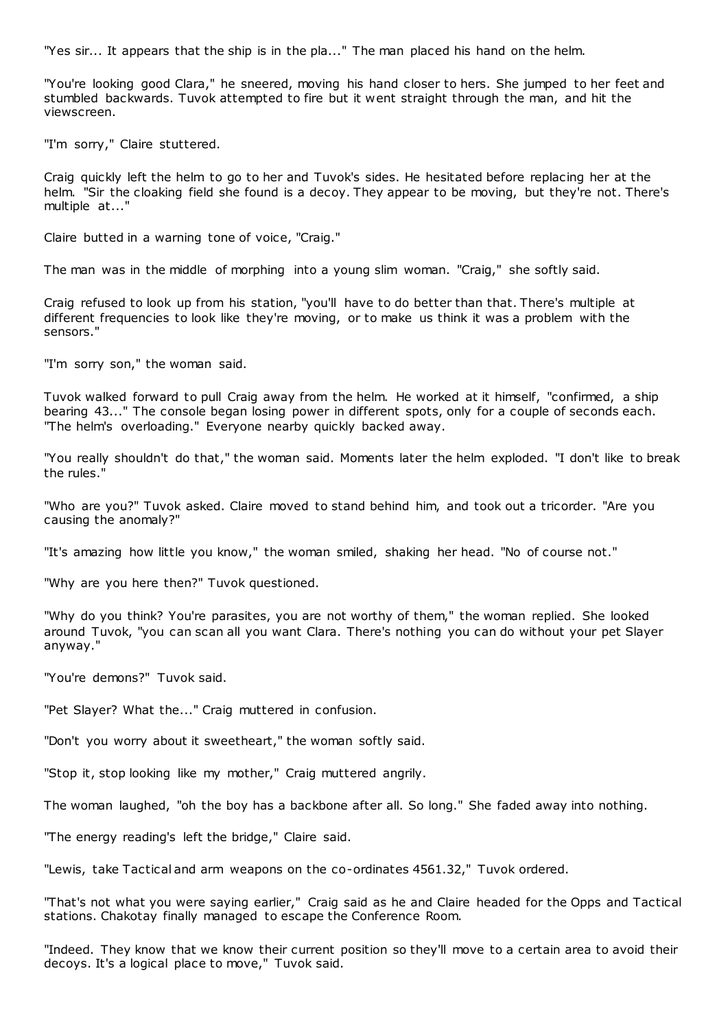"Yes sir... It appears that the ship is in the pla..." The man placed his hand on the helm.

"You're looking good Clara," he sneered, moving his hand closer to hers. She jumped to her feet and stumbled backwards. Tuvok attempted to fire but it went straight through the man, and hit the viewscreen.

"I'm sorry," Claire stuttered.

Craig quickly left the helm to go to her and Tuvok's sides. He hesitated before replacing her at the helm. "Sir the cloaking field she found is a decoy. They appear to be moving, but they're not. There's multiple at..."

Claire butted in a warning tone of voice, "Craig."

The man was in the middle of morphing into a young slim woman. "Craig," she softly said.

Craig refused to look up from his station, "you'll have to do better than that. There's multiple at different frequencies to look like they're moving, or to make us think it was a problem with the sensors."

"I'm sorry son," the woman said.

Tuvok walked forward to pull Craig away from the helm. He worked at it himself, "confirmed, a ship bearing 43..." The console began losing power in different spots, only for a couple of seconds each. "The helm's overloading." Everyone nearby quickly backed away.

"You really shouldn't do that," the woman said. Moments later the helm exploded. "I don't like to break the rules."

"Who are you?" Tuvok asked. Claire moved to stand behind him, and took out a tricorder. "Are you causing the anomaly?"

"It's amazing how little you know," the woman smiled, shaking her head. "No of course not."

"Why are you here then?" Tuvok questioned.

"Why do you think? You're parasites, you are not worthy of them," the woman replied. She looked around Tuvok, "you can scan all you want Clara. There's nothing you can do without your pet Slayer anyway."

"You're demons?" Tuvok said.

"Pet Slayer? What the..." Craig muttered in confusion.

"Don't you worry about it sweetheart," the woman softly said.

"Stop it, stop looking like my mother," Craig muttered angrily.

The woman laughed, "oh the boy has a backbone after all. So long." She faded away into nothing.

"The energy reading's left the bridge," Claire said.

"Lewis, take Tactical and arm weapons on the co-ordinates 4561.32," Tuvok ordered.

"That's not what you were saying earlier," Craig said as he and Claire headed for the Opps and Tactical stations. Chakotay finally managed to escape the Conference Room.

"Indeed. They know that we know their current position so they'll move to a certain area to avoid their decoys. It's a logical place to move," Tuvok said.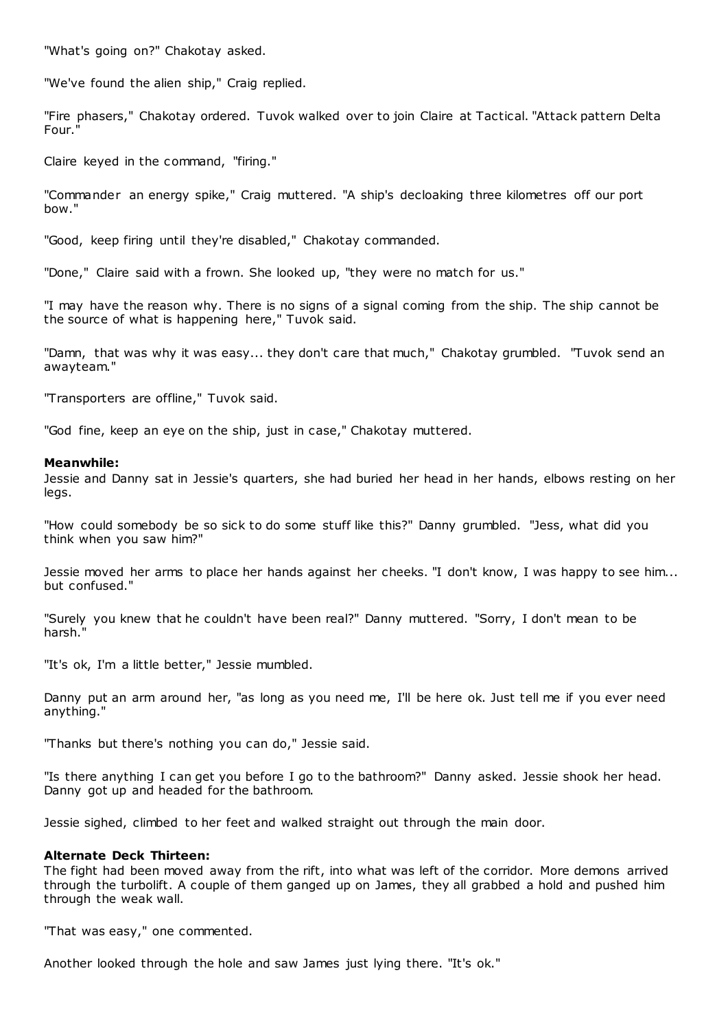"What's going on?" Chakotay asked.

"We've found the alien ship," Craig replied.

"Fire phasers," Chakotay ordered. Tuvok walked over to join Claire at Tactical. "Attack pattern Delta Four."

Claire keyed in the command, "firing."

"Commander an energy spike," Craig muttered. "A ship's decloaking three kilometres off our port bow."

"Good, keep firing until they're disabled," Chakotay commanded.

"Done," Claire said with a frown. She looked up, "they were no match for us."

"I may have the reason why. There is no signs of a signal coming from the ship. The ship cannot be the source of what is happening here," Tuvok said.

"Damn, that was why it was easy... they don't care that much," Chakotay grumbled. "Tuvok send an awayteam."

"Transporters are offline," Tuvok said.

"God fine, keep an eye on the ship, just in case," Chakotay muttered.

# **Meanwhile:**

Jessie and Danny sat in Jessie's quarters, she had buried her head in her hands, elbows resting on her legs.

"How could somebody be so sick to do some stuff like this?" Danny grumbled. "Jess, what did you think when you saw him?"

Jessie moved her arms to place her hands against her cheeks. "I don't know, I was happy to see him... but confused."

"Surely you knew that he couldn't have been real?" Danny muttered. "Sorry, I don't mean to be harsh."

"It's ok, I'm a little better," Jessie mumbled.

Danny put an arm around her, "as long as you need me, I'll be here ok. Just tell me if you ever need anything."

"Thanks but there's nothing you can do," Jessie said.

"Is there anything I can get you before I go to the bathroom?" Danny asked. Jessie shook her head. Danny got up and headed for the bathroom.

Jessie sighed, climbed to her feet and walked straight out through the main door.

# **Alternate Deck Thirteen:**

The fight had been moved away from the rift, into what was left of the corridor. More demons arrived through the turbolift. A couple of them ganged up on James, they all grabbed a hold and pushed him through the weak wall.

"That was easy," one commented.

Another looked through the hole and saw James just lying there. "It's ok."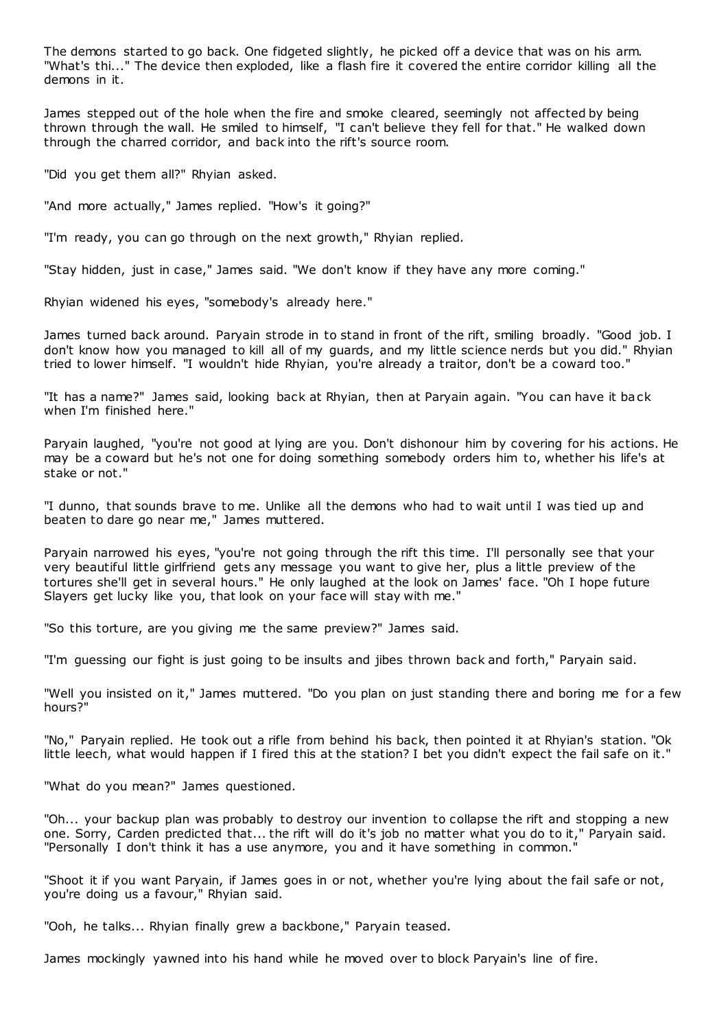The demons started to go back. One fidgeted slightly, he picked off a device that was on his arm. "What's thi..." The device then exploded, like a flash fire it covered the entire corridor killing all the demons in it.

James stepped out of the hole when the fire and smoke cleared, seemingly not affected by being thrown through the wall. He smiled to himself, "I can't believe they fell for that." He walked down through the charred corridor, and back into the rift's source room.

"Did you get them all?" Rhyian asked.

"And more actually," James replied. "How's it going?"

"I'm ready, you can go through on the next growth," Rhyian replied.

"Stay hidden, just in case," James said. "We don't know if they have any more coming."

Rhyian widened his eyes, "somebody's already here."

James turned back around. Paryain strode in to stand in front of the rift, smiling broadly. "Good job. I don't know how you managed to kill all of my guards, and my little science nerds but you did." Rhyian tried to lower himself. "I wouldn't hide Rhyian, you're already a traitor, don't be a coward too."

"It has a name?" James said, looking back at Rhyian, then at Paryain again. "You can have it back when I'm finished here."

Paryain laughed, "you're not good at lying are you. Don't dishonour him by covering for his actions. He may be a coward but he's not one for doing something somebody orders him to, whether his life's at stake or not."

"I dunno, that sounds brave to me. Unlike all the demons who had to wait until I was tied up and beaten to dare go near me," James muttered.

Paryain narrowed his eyes, "you're not going through the rift this time. I'll personally see that your very beautiful little girlfriend gets any message you want to give her, plus a little preview of the tortures she'll get in several hours." He only laughed at the look on James' face. "Oh I hope future Slayers get lucky like you, that look on your face will stay with me."

"So this torture, are you giving me the same preview?" James said.

"I'm guessing our fight is just going to be insults and jibes thrown back and forth," Paryain said.

"Well you insisted on it," James muttered. "Do you plan on just standing there and boring me for a few hours?"

"No," Paryain replied. He took out a rifle from behind his back, then pointed it at Rhyian's station. "Ok little leech, what would happen if I fired this at the station? I bet you didn't expect the fail safe on it."

"What do you mean?" James questioned.

"Oh... your backup plan was probably to destroy our invention to collapse the rift and stopping a new one. Sorry, Carden predicted that... the rift will do it's job no matter what you do to it," Paryain said. "Personally I don't think it has a use anymore, you and it have something in common."

"Shoot it if you want Paryain, if James goes in or not, whether you're lying about the fail safe or not, you're doing us a favour," Rhyian said.

"Ooh, he talks... Rhyian finally grew a backbone," Paryain teased.

James mockingly yawned into his hand while he moved over to block Paryain's line of fire.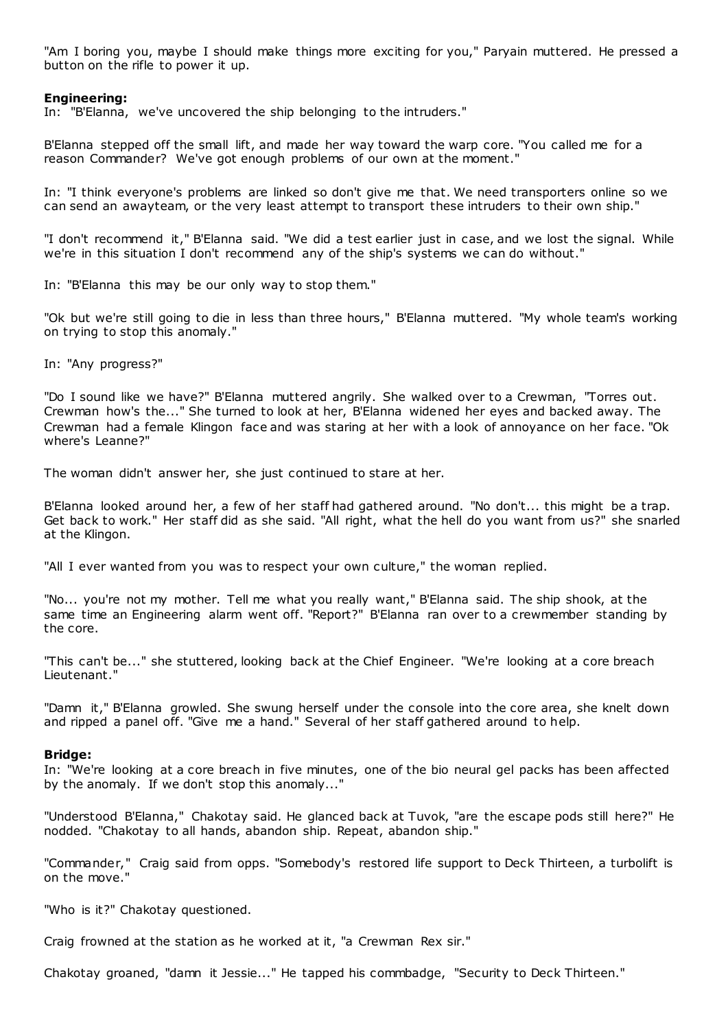"Am I boring you, maybe I should make things more exciting for you," Paryain muttered. He pressed a button on the rifle to power it up.

## **Engineering:**

In: "B'Elanna, we've uncovered the ship belonging to the intruders."

B'Elanna stepped off the small lift, and made her way toward the warp core. "You called me for a reason Commander? We've got enough problems of our own at the moment."

In: "I think everyone's problems are linked so don't give me that. We need transporters online so we can send an awayteam, or the very least attempt to transport these intruders to their own ship."

"I don't recommend it," B'Elanna said. "We did a test earlier just in case, and we lost the signal. While we're in this situation I don't recommend any of the ship's systems we can do without."

In: "B'Elanna this may be our only way to stop them."

"Ok but we're still going to die in less than three hours," B'Elanna muttered. "My whole team's working on trying to stop this anomaly."

In: "Any progress?"

"Do I sound like we have?" B'Elanna muttered angrily. She walked over to a Crewman, "Torres out. Crewman how's the..." She turned to look at her, B'Elanna widened her eyes and backed away. The Crewman had a female Klingon face and was staring at her with a look of annoyance on her face. "Ok where's Leanne?"

The woman didn't answer her, she just continued to stare at her.

B'Elanna looked around her, a few of her staff had gathered around. "No don't... this might be a trap. Get back to work." Her staff did as she said. "All right, what the hell do you want from us?" she snarled at the Klingon.

"All I ever wanted from you was to respect your own culture," the woman replied.

"No... you're not my mother. Tell me what you really want," B'Elanna said. The ship shook, at the same time an Engineering alarm went off. "Report?" B'Elanna ran over to a crewmember standing by the core.

"This can't be..." she stuttered, looking back at the Chief Engineer. "We're looking at a core breach Lieutenant."

"Damn it," B'Elanna growled. She swung herself under the console into the core area, she knelt down and ripped a panel off. "Give me a hand." Several of her staff gathered around to help.

#### **Bridge:**

In: "We're looking at a core breach in five minutes, one of the bio neural gel packs has been affected by the anomaly. If we don't stop this anomaly..."

"Understood B'Elanna," Chakotay said. He glanced back at Tuvok, "are the escape pods still here?" He nodded. "Chakotay to all hands, abandon ship. Repeat, abandon ship."

"Commander," Craig said from opps. "Somebody's restored life support to Deck Thirteen, a turbolift is on the move."

"Who is it?" Chakotay questioned.

Craig frowned at the station as he worked at it, "a Crewman Rex sir."

Chakotay groaned, "damn it Jessie..." He tapped his commbadge, "Security to Deck Thirteen."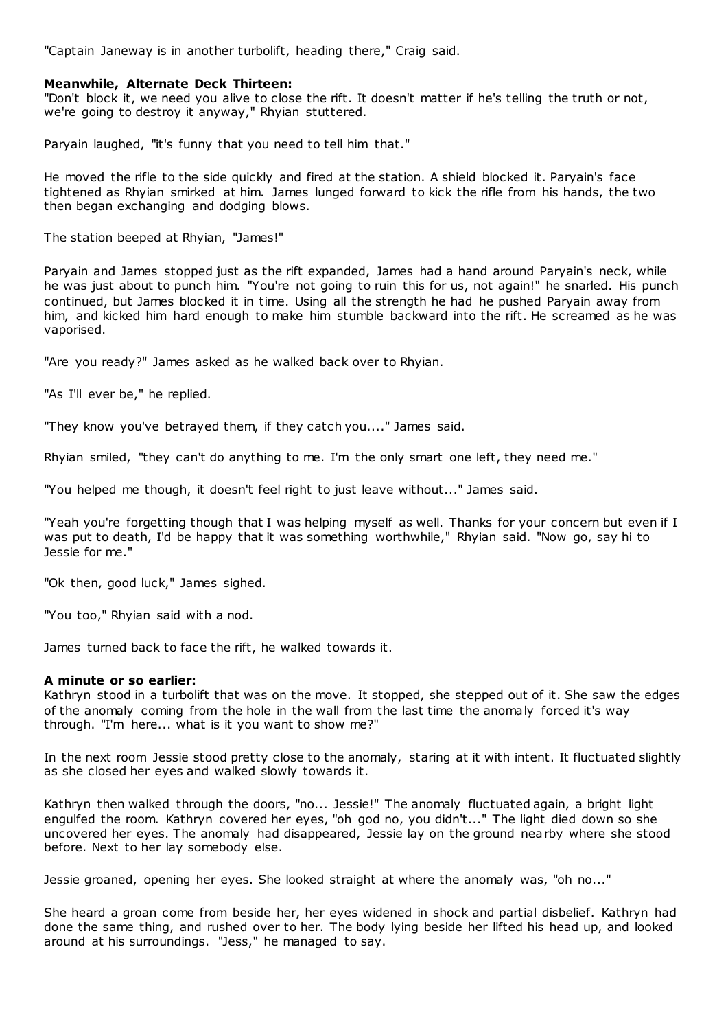"Captain Janeway is in another turbolift, heading there," Craig said.

# **Meanwhile, Alternate Deck Thirteen:**

"Don't block it, we need you alive to close the rift. It doesn't matter if he's telling the truth or not, we're going to destroy it anyway," Rhyian stuttered.

Paryain laughed, "it's funny that you need to tell him that."

He moved the rifle to the side quickly and fired at the station. A shield blocked it. Paryain's face tightened as Rhyian smirked at him. James lunged forward to kick the rifle from his hands, the two then began exchanging and dodging blows.

The station beeped at Rhyian, "James!"

Paryain and James stopped just as the rift expanded, James had a hand around Paryain's neck, while he was just about to punch him. "You're not going to ruin this for us, not again!" he snarled. His punch continued, but James blocked it in time. Using all the strength he had he pushed Paryain away from him, and kicked him hard enough to make him stumble backward into the rift. He screamed as he was vaporised.

"Are you ready?" James asked as he walked back over to Rhyian.

"As I'll ever be," he replied.

"They know you've betrayed them, if they catch you...." James said.

Rhyian smiled, "they can't do anything to me. I'm the only smart one left, they need me."

"You helped me though, it doesn't feel right to just leave without..." James said.

"Yeah you're forgetting though that I was helping myself as well. Thanks for your concern but even if I was put to death, I'd be happy that it was something worthwhile," Rhyian said. "Now go, say hi to Jessie for me."

"Ok then, good luck," James sighed.

"You too," Rhyian said with a nod.

James turned back to face the rift, he walked towards it.

# **A minute or so earlier:**

Kathryn stood in a turbolift that was on the move. It stopped, she stepped out of it. She saw the edges of the anomaly coming from the hole in the wall from the last time the anomaly forced it's way through. "I'm here... what is it you want to show me?"

In the next room Jessie stood pretty close to the anomaly, staring at it with intent. It fluctuated slightly as she closed her eyes and walked slowly towards it.

Kathryn then walked through the doors, "no... Jessie!" The anomaly fluctuated again, a bright light engulfed the room. Kathryn covered her eyes, "oh god no, you didn't..." The light died down so she uncovered her eyes. The anomaly had disappeared, Jessie lay on the ground nearby where she stood before. Next to her lay somebody else.

Jessie groaned, opening her eyes. She looked straight at where the anomaly was, "oh no..."

She heard a groan come from beside her, her eyes widened in shock and partial disbelief. Kathryn had done the same thing, and rushed over to her. The body lying beside her lifted his head up, and looked around at his surroundings. "Jess," he managed to say.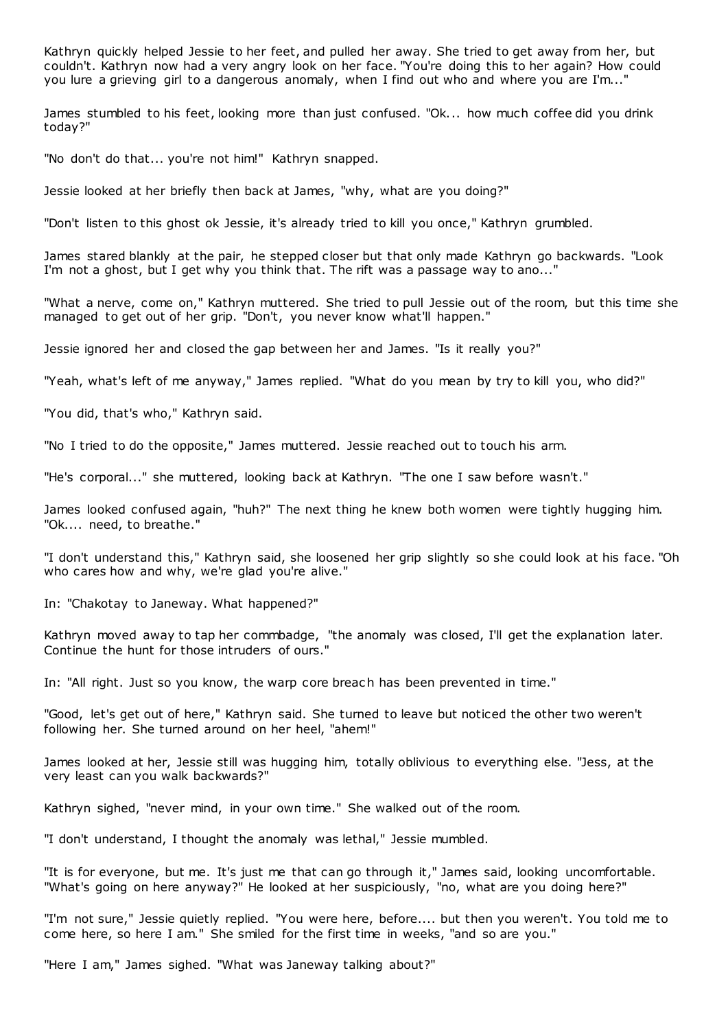Kathryn quickly helped Jessie to her feet, and pulled her away. She tried to get away from her, but couldn't. Kathryn now had a very angry look on her face. "You're doing this to her again? How could you lure a grieving girl to a dangerous anomaly, when I find out who and where you are I'm..."

James stumbled to his feet, looking more than just confused. "Ok... how much coffee did you drink today?"

"No don't do that... you're not him!" Kathryn snapped.

Jessie looked at her briefly then back at James, "why, what are you doing?"

"Don't listen to this ghost ok Jessie, it's already tried to kill you once," Kathryn grumbled.

James stared blankly at the pair, he stepped closer but that only made Kathryn go backwards. "Look I'm not a ghost, but I get why you think that. The rift was a passage way to ano..."

"What a nerve, come on," Kathryn muttered. She tried to pull Jessie out of the room, but this time she managed to get out of her grip. "Don't, you never know what'll happen."

Jessie ignored her and closed the gap between her and James. "Is it really you?"

"Yeah, what's left of me anyway," James replied. "What do you mean by try to kill you, who did?"

"You did, that's who," Kathryn said.

"No I tried to do the opposite," James muttered. Jessie reached out to touch his arm.

"He's corporal..." she muttered, looking back at Kathryn. "The one I saw before wasn't."

James looked confused again, "huh?" The next thing he knew both women were tightly hugging him. "Ok.... need, to breathe."

"I don't understand this," Kathryn said, she loosened her grip slightly so she could look at his face. "Oh who cares how and why, we're glad you're alive."

In: "Chakotay to Janeway. What happened?"

Kathryn moved away to tap her commbadge, "the anomaly was closed, I'll get the explanation later. Continue the hunt for those intruders of ours."

In: "All right. Just so you know, the warp core breac h has been prevented in time."

"Good, let's get out of here," Kathryn said. She turned to leave but noticed the other two weren't following her. She turned around on her heel, "ahem!"

James looked at her, Jessie still was hugging him, totally oblivious to everything else. "Jess, at the very least can you walk backwards?"

Kathryn sighed, "never mind, in your own time." She walked out of the room.

"I don't understand, I thought the anomaly was lethal," Jessie mumbled.

"It is for everyone, but me. It's just me that can go through it," James said, looking uncomfortable. "What's going on here anyway?" He looked at her suspiciously, "no, what are you doing here?"

"I'm not sure," Jessie quietly replied. "You were here, before.... but then you weren't. You told me to come here, so here I am." She smiled for the first time in weeks, "and so are you."

"Here I am," James sighed. "What was Janeway talking about?"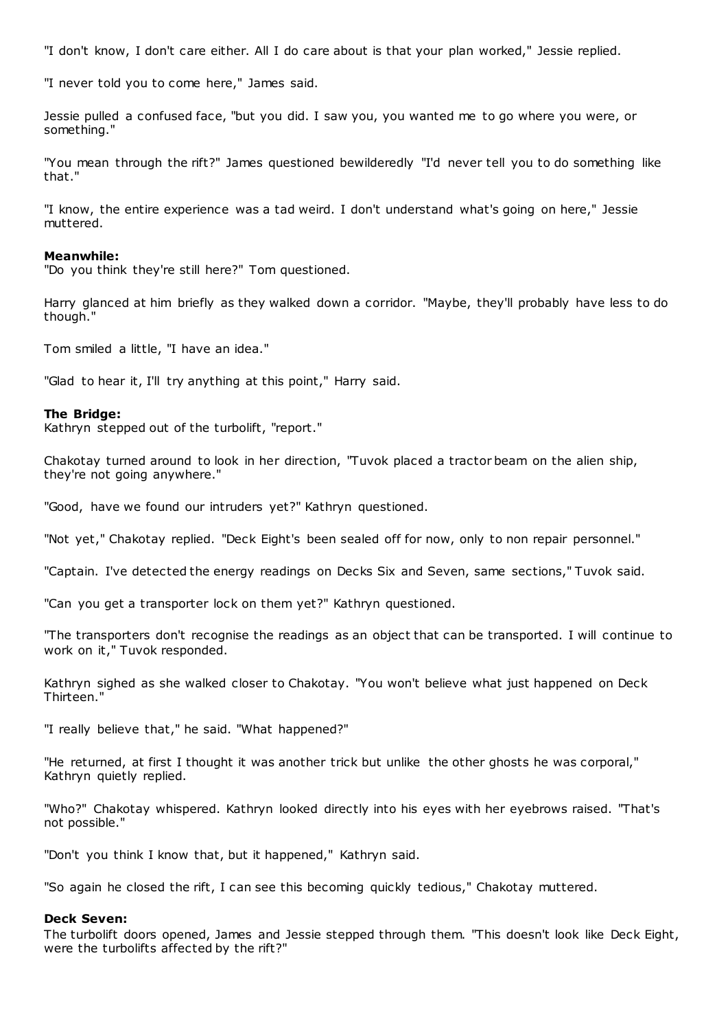"I don't know, I don't care either. All I do care about is that your plan worked," Jessie replied.

"I never told you to come here," James said.

Jessie pulled a confused face, "but you did. I saw you, you wanted me to go where you were, or something."

"You mean through the rift?" James questioned bewilderedly "I'd never tell you to do something like that."

"I know, the entire experience was a tad weird. I don't understand what's going on here," Jessie muttered.

#### **Meanwhile:**

"Do you think they're still here?" Tom questioned.

Harry glanced at him briefly as they walked down a corridor. "Maybe, they'll probably have less to do though."

Tom smiled a little, "I have an idea."

"Glad to hear it, I'll try anything at this point," Harry said.

#### **The Bridge:**

Kathryn stepped out of the turbolift, "report."

Chakotay turned around to look in her direction, "Tuvok placed a tractor beam on the alien ship, they're not going anywhere."

"Good, have we found our intruders yet?" Kathryn questioned.

"Not yet," Chakotay replied. "Deck Eight's been sealed off for now, only to non repair personnel."

"Captain. I've detected the energy readings on Decks Six and Seven, same sections," Tuvok said.

"Can you get a transporter lock on them yet?" Kathryn questioned.

"The transporters don't recognise the readings as an object that can be transported. I will continue to work on it," Tuvok responded.

Kathryn sighed as she walked closer to Chakotay. "You won't believe what just happened on Deck Thirteen."

"I really believe that," he said. "What happened?"

"He returned, at first I thought it was another trick but unlike the other ghosts he was corporal," Kathryn quietly replied.

"Who?" Chakotay whispered. Kathryn looked directly into his eyes with her eyebrows raised. "That's not possible."

"Don't you think I know that, but it happened," Kathryn said.

"So again he closed the rift, I can see this becoming quickly tedious," Chakotay muttered.

#### **Deck Seven:**

The turbolift doors opened, James and Jessie stepped through them. "This doesn't look like Deck Eight, were the turbolifts affected by the rift?"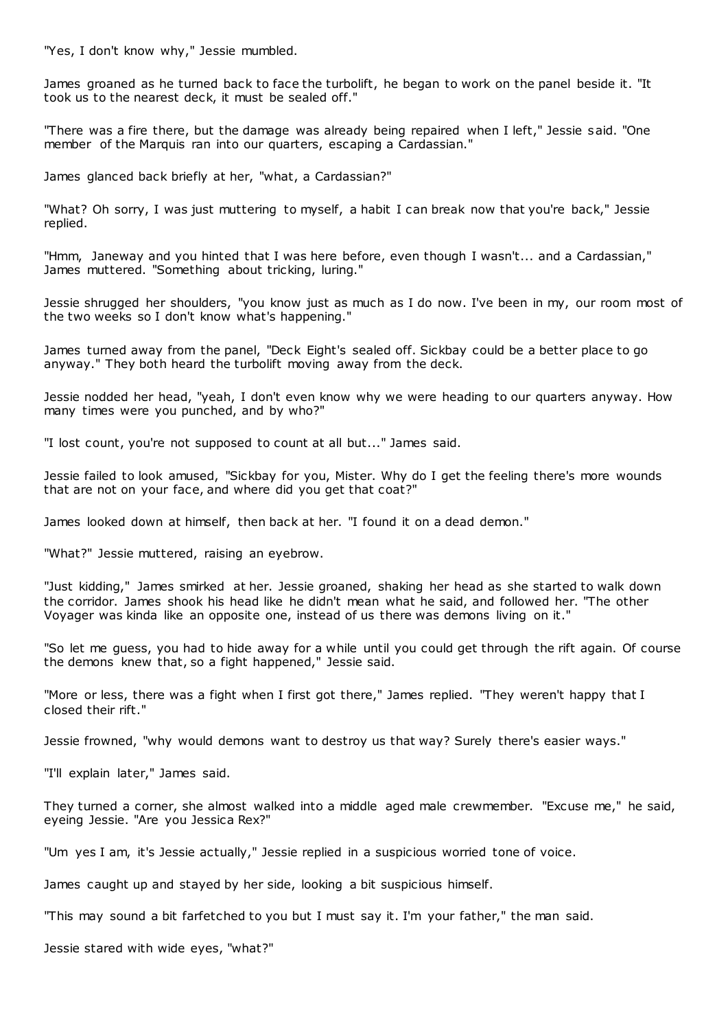"Yes, I don't know why," Jessie mumbled.

James groaned as he turned back to face the turbolift, he began to work on the panel beside it. "It took us to the nearest deck, it must be sealed off."

"There was a fire there, but the damage was already being repaired when I left," Jessie said. "One member of the Marquis ran into our quarters, escaping a Cardassian."

James glanced back briefly at her, "what, a Cardassian?"

"What? Oh sorry, I was just muttering to myself, a habit I can break now that you're back," Jessie replied.

"Hmm, Janeway and you hinted that I was here before, even though I wasn't... and a Cardassian," James muttered. "Something about tricking, luring."

Jessie shrugged her shoulders, "you know just as much as I do now. I've been in my, our room most of the two weeks so I don't know what's happening."

James turned away from the panel, "Deck Eight's sealed off. Sickbay could be a better place to go anyway." They both heard the turbolift moving away from the deck.

Jessie nodded her head, "yeah, I don't even know why we were heading to our quarters anyway. How many times were you punched, and by who?"

"I lost count, you're not supposed to count at all but..." James said.

Jessie failed to look amused, "Sickbay for you, Mister. Why do I get the feeling there's more wounds that are not on your face, and where did you get that coat?"

James looked down at himself, then back at her. "I found it on a dead demon."

"What?" Jessie muttered, raising an eyebrow.

"Just kidding," James smirked at her. Jessie groaned, shaking her head as she started to walk down the corridor. James shook his head like he didn't mean what he said, and followed her. "The other Voyager was kinda like an opposite one, instead of us there was demons living on it."

"So let me guess, you had to hide away for a while until you could get through the rift again. Of course the demons knew that, so a fight happened," Jessie said.

"More or less, there was a fight when I first got there," James replied. "They weren't happy that I closed their rift."

Jessie frowned, "why would demons want to destroy us that way? Surely there's easier ways."

"I'll explain later," James said.

They turned a corner, she almost walked into a middle aged male crewmember. "Excuse me," he said, eyeing Jessie. "Are you Jessica Rex?"

"Um yes I am, it's Jessie actually," Jessie replied in a suspicious worried tone of voice.

James caught up and stayed by her side, looking a bit suspicious himself.

"This may sound a bit farfetched to you but I must say it. I'm your father," the man said.

Jessie stared with wide eyes, "what?"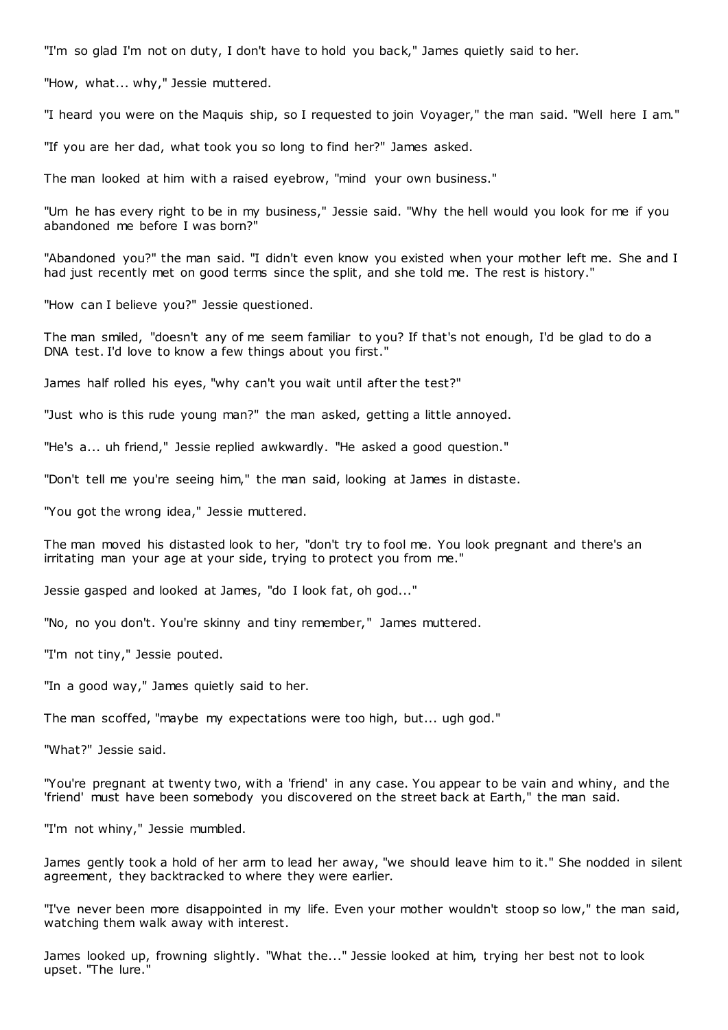"I'm so glad I'm not on duty, I don't have to hold you back," James quietly said to her.

"How, what... why," Jessie muttered.

"I heard you were on the Maquis ship, so I requested to join Voyager," the man said. "Well here I am."

"If you are her dad, what took you so long to find her?" James asked.

The man looked at him with a raised eyebrow, "mind your own business."

"Um he has every right to be in my business," Jessie said. "Why the hell would you look for me if you abandoned me before I was born?"

"Abandoned you?" the man said. "I didn't even know you existed when your mother left me. She and I had just recently met on good terms since the split, and she told me. The rest is history."

"How can I believe you?" Jessie questioned.

The man smiled, "doesn't any of me seem familiar to you? If that's not enough, I'd be glad to do a DNA test. I'd love to know a few things about you first."

James half rolled his eyes, "why can't you wait until after the test?"

"Just who is this rude young man?" the man asked, getting a little annoyed.

"He's a... uh friend," Jessie replied awkwardly. "He asked a good question."

"Don't tell me you're seeing him," the man said, looking at James in distaste.

"You got the wrong idea," Jessie muttered.

The man moved his distasted look to her, "don't try to fool me. You look pregnant and there's an irritating man your age at your side, trying to protect you from me."

Jessie gasped and looked at James, "do I look fat, oh god..."

"No, no you don't. You're skinny and tiny remember," James muttered.

"I'm not tiny," Jessie pouted.

"In a good way," James quietly said to her.

The man scoffed, "maybe my expectations were too high, but... ugh god."

"What?" Jessie said.

"You're pregnant at twenty two, with a 'friend' in any case. You appear to be vain and whiny, and the 'friend' must have been somebody you discovered on the street back at Earth," the man said.

"I'm not whiny," Jessie mumbled.

James gently took a hold of her arm to lead her away, "we should leave him to it." She nodded in silent agreement, they backtracked to where they were earlier.

"I've never been more disappointed in my life. Even your mother wouldn't stoop so low," the man said, watching them walk away with interest.

James looked up, frowning slightly. "What the..." Jessie looked at him, trying her best not to look upset. "The lure."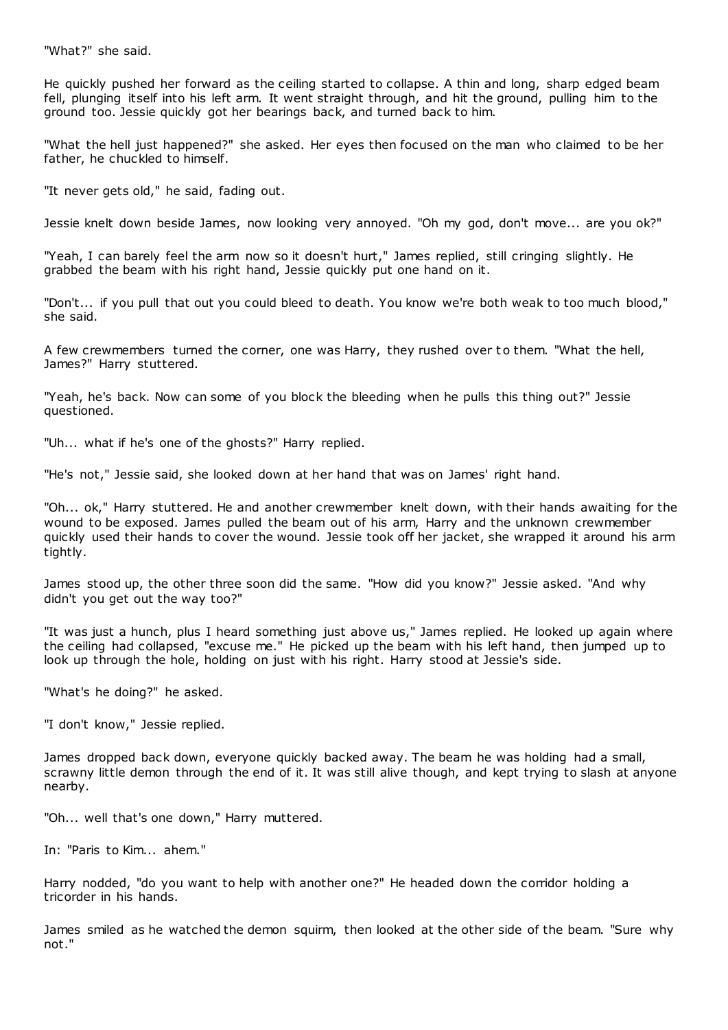"What?" she said.

He quickly pushed her forward as the ceiling started to collapse. A thin and long, sharp edged beam fell, plunging itself into his left arm. It went straight through, and hit the ground, pulling him to the ground too. Jessie quickly got her bearings back, and turned back to him.

"What the hell just happened?" she asked. Her eyes then focused on the man who claimed to be her father, he chuckled to himself.

"It never gets old," he said, fading out.

Jessie knelt down beside James, now looking very annoyed. "Oh my god, don't move... are you ok?"

"Yeah, I can barely feel the arm now so it doesn't hurt," James replied, still cringing slightly. He grabbed the beam with his right hand, Jessie quickly put one hand on it.

"Don't... if you pull that out you could bleed to death. You know we're both weak to too much blood," she said.

A few crewmembers turned the corner, one was Harry, they rushed over to them. "What the hell, James?" Harry stuttered.

"Yeah, he's back. Now can some of you block the bleeding when he pulls this thing out?" Jessie questioned.

"Uh... what if he's one of the ghosts?" Harry replied.

"He's not," Jessie said, she looked down at her hand that was on James' right hand.

"Oh... ok," Harry stuttered. He and another crewmember knelt down, with their hands awaiting for the wound to be exposed. James pulled the beam out of his arm, Harry and the unknown crewmember quickly used their hands to cover the wound. Jessie took off her jacket, she wrapped it around his arm tightly.

James stood up, the other three soon did the same. "How did you know?" Jessie asked. "And why didn't you get out the way too?"

"It was just a hunch, plus I heard something just above us," James replied. He looked up again where the ceiling had collapsed, "excuse me." He picked up the beam with his left hand, then jumped up to look up through the hole, holding on just with his right. Harry stood at Jessie's side.

"What's he doing?" he asked.

"I don't know," Jessie replied.

James dropped back down, everyone quickly backed away. The beam he was holding had a small, scrawny little demon through the end of it. It was still alive though, and kept trying to slash at anyone nearby.

"Oh... well that's one down," Harry muttered.

In: "Paris to Kim... ahem."

Harry nodded, "do you want to help with another one?" He headed down the corridor holding a tricorder in his hands.

James smiled as he watched the demon squirm, then looked at the other side of the beam. "Sure why not."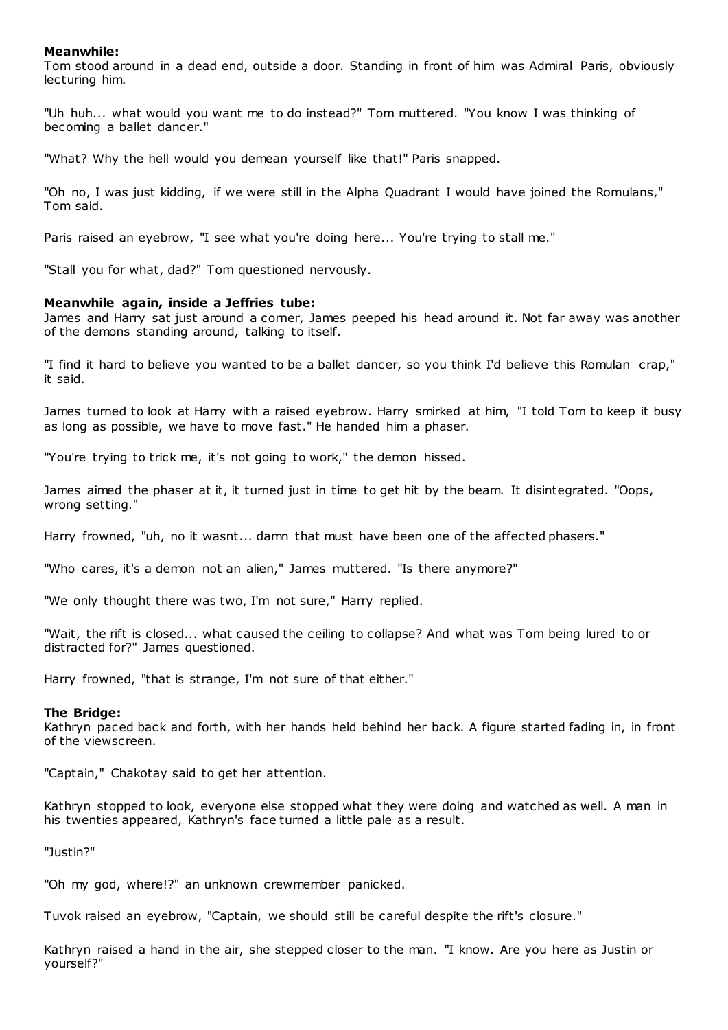# **Meanwhile:**

Tom stood around in a dead end, outside a door. Standing in front of him was Admiral Paris, obviously lecturing him.

"Uh huh... what would you want me to do instead?" Tom muttered. "You know I was thinking of becoming a ballet dancer."

"What? Why the hell would you demean yourself like that!" Paris snapped.

"Oh no, I was just kidding, if we were still in the Alpha Quadrant I would have joined the Romulans," Tom said.

Paris raised an eyebrow, "I see what you're doing here... You're trying to stall me."

"Stall you for what, dad?" Tom questioned nervously.

#### **Meanwhile again, inside a Jeffries tube:**

James and Harry sat just around a corner, James peeped his head around it. Not far away was another of the demons standing around, talking to itself.

"I find it hard to believe you wanted to be a ballet dancer, so you think I'd believe this Romulan crap," it said.

James turned to look at Harry with a raised eyebrow. Harry smirked at him, "I told Tom to keep it busy as long as possible, we have to move fast." He handed him a phaser.

"You're trying to trick me, it's not going to work," the demon hissed.

James aimed the phaser at it, it turned just in time to get hit by the beam. It disintegrated. "Oops, wrong setting."

Harry frowned, "uh, no it wasnt... damn that must have been one of the affected phasers."

"Who cares, it's a demon not an alien," James muttered. "Is there anymore?"

"We only thought there was two, I'm not sure," Harry replied.

"Wait, the rift is closed... what caused the ceiling to collapse? And what was Tom being lured to or distracted for?" James questioned.

Harry frowned, "that is strange, I'm not sure of that either."

#### **The Bridge:**

Kathryn paced back and forth, with her hands held behind her back. A figure started fading in, in front of the viewscreen.

"Captain," Chakotay said to get her attention.

Kathryn stopped to look, everyone else stopped what they were doing and watched as well. A man in his twenties appeared, Kathryn's face turned a little pale as a result.

"Justin?"

"Oh my god, where!?" an unknown crewmember panicked.

Tuvok raised an eyebrow, "Captain, we should still be careful despite the rift's closure."

Kathryn raised a hand in the air, she stepped closer to the man. "I know. Are you here as Justin or yourself?"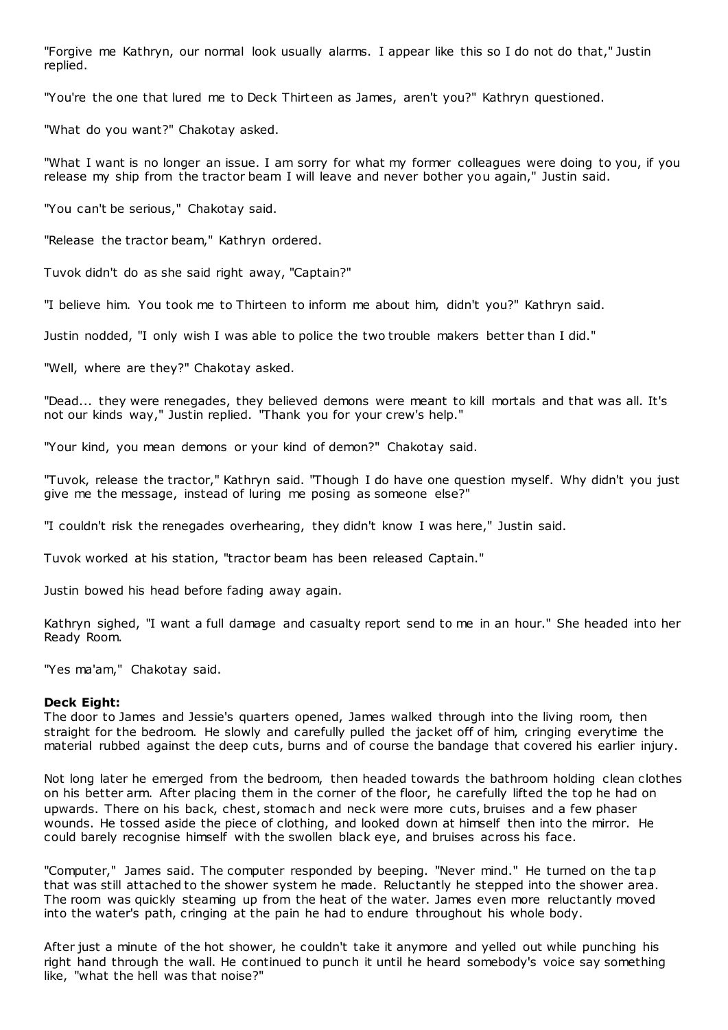"Forgive me Kathryn, our normal look usually alarms. I appear like this so I do not do that," Justin replied.

"You're the one that lured me to Deck Thirteen as James, aren't you?" Kathryn questioned.

"What do you want?" Chakotay asked.

"What I want is no longer an issue. I am sorry for what my former colleagues were doing to you, if you release my ship from the tractor beam I will leave and never bother you again," Justin said.

"You can't be serious," Chakotay said.

"Release the tractor beam," Kathryn ordered.

Tuvok didn't do as she said right away, "Captain?"

"I believe him. You took me to Thirteen to inform me about him, didn't you?" Kathryn said.

Justin nodded, "I only wish I was able to police the two trouble makers better than I did."

"Well, where are they?" Chakotay asked.

"Dead... they were renegades, they believed demons were meant to kill mortals and that was all. It's not our kinds way," Justin replied. "Thank you for your crew's help."

"Your kind, you mean demons or your kind of demon?" Chakotay said.

"Tuvok, release the tractor," Kathryn said. "Though I do have one question myself. Why didn't you just give me the message, instead of luring me posing as someone else?"

"I couldn't risk the renegades overhearing, they didn't know I was here," Justin said.

Tuvok worked at his station, "tractor beam has been released Captain."

Justin bowed his head before fading away again.

Kathryn sighed, "I want a full damage and casualty report send to me in an hour." She headed into her Ready Room.

"Yes ma'am," Chakotay said.

# **Deck Eight:**

The door to James and Jessie's quarters opened, James walked through into the living room, then straight for the bedroom. He slowly and carefully pulled the jacket off of him, cringing everytime the material rubbed against the deep cuts, burns and of course the bandage that covered his earlier injury.

Not long later he emerged from the bedroom, then headed towards the bathroom holding clean clothes on his better arm. After placing them in the corner of the floor, he carefully lifted the top he had on upwards. There on his back, chest, stomach and neck were more cuts, bruises and a few phaser wounds. He tossed aside the piece of clothing, and looked down at himself then into the mirror. He could barely recognise himself with the swollen black eye, and bruises across his face.

"Computer," James said. The computer responded by beeping. "Never mind." He turned on the tap that was still attached to the shower system he made. Reluctantly he stepped into the shower area. The room was quickly steaming up from the heat of the water. James even more reluctantly moved into the water's path, cringing at the pain he had to endure throughout his whole body.

After just a minute of the hot shower, he couldn't take it anymore and yelled out while punching his right hand through the wall. He continued to punch it until he heard somebody's voice say something like, "what the hell was that noise?"